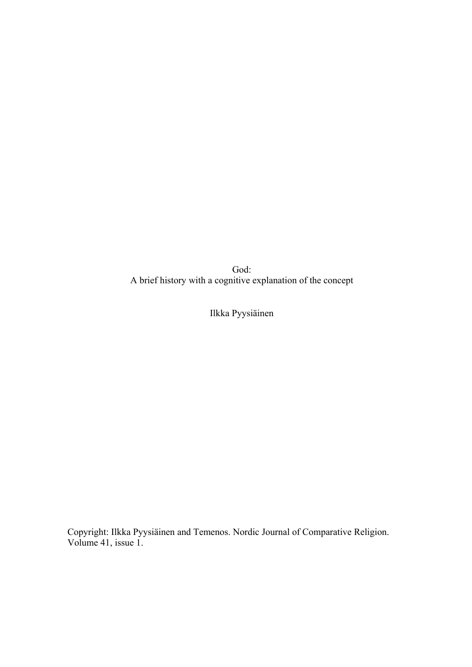God: A brief history with a cognitive explanation of the concept

Ilkka Pyysiäinen

Copyright: Ilkka Pyysiäinen and Temenos. Nordic Journal of Comparative Religion. Volume 41, issue 1.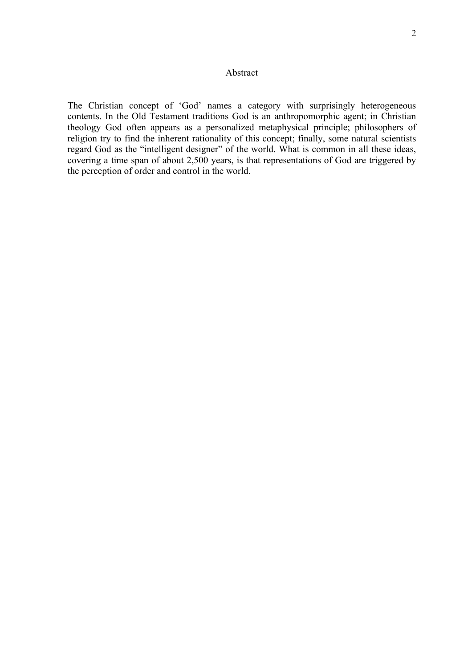# Abstract

The Christian concept of 'God' names a category with surprisingly heterogeneous contents. In the Old Testament traditions God is an anthropomorphic agent; in Christian theology God often appears as a personalized metaphysical principle; philosophers of religion try to find the inherent rationality of this concept; finally, some natural scientists regard God as the "intelligent designer" of the world. What is common in all these ideas, covering a time span of about 2,500 years, is that representations of God are triggered by the perception of order and control in the world.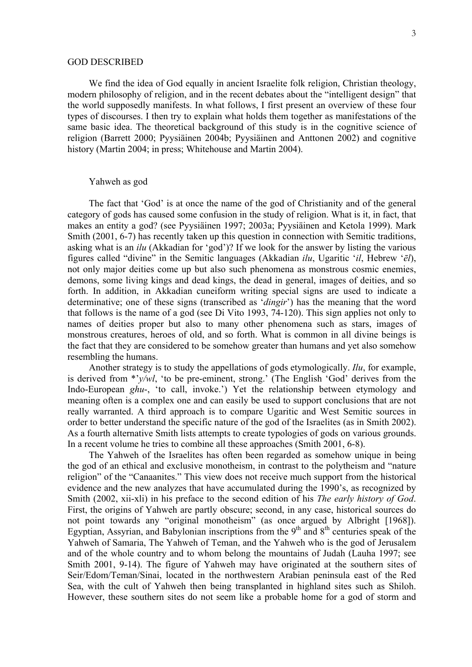### GOD DESCRIBED

We find the idea of God equally in ancient Israelite folk religion, Christian theology, modern philosophy of religion, and in the recent debates about the "intelligent design" that the world supposedly manifests. In what follows, I first present an overview of these four types of discourses. I then try to explain what holds them together as manifestations of the same basic idea. The theoretical background of this study is in the cognitive science of religion (Barrett 2000; Pyysiäinen 2004b; Pyysiäinen and Anttonen 2002) and cognitive history (Martin 2004; in press; Whitehouse and Martin 2004).

### Yahweh as god

The fact that 'God' is at once the name of the god of Christianity and of the general category of gods has caused some confusion in the study of religion. What is it, in fact, that makes an entity a god? (see Pyysiäinen 1997; 2003a; Pyysiäinen and Ketola 1999). Mark Smith (2001, 6-7) has recently taken up this question in connection with Semitic traditions, asking what is an *ilu* (Akkadian for 'god')? If we look for the answer by listing the various figures called "divine" in the Semitic languages (Akkadian *ilu*, Ugaritic '*il*, Hebrew '*ēl*), not only major deities come up but also such phenomena as monstrous cosmic enemies, demons, some living kings and dead kings, the dead in general, images of deities, and so forth. In addition, in Akkadian cuneiform writing special signs are used to indicate a determinative; one of these signs (transcribed as '*dingir*') has the meaning that the word that follows is the name of a god (see Di Vito 1993, 74-120). This sign applies not only to names of deities proper but also to many other phenomena such as stars, images of monstrous creatures, heroes of old, and so forth. What is common in all divine beings is the fact that they are considered to be somehow greater than humans and yet also somehow resembling the humans.

Another strategy is to study the appellations of gods etymologically. *Ilu*, for example, is derived from \*'*y/wl*, 'to be pre-eminent, strong.' (The English 'God' derives from the Indo-European *ghu*-, 'to call, invoke.') Yet the relationship between etymology and meaning often is a complex one and can easily be used to support conclusions that are not really warranted. A third approach is to compare Ugaritic and West Semitic sources in order to better understand the specific nature of the god of the Israelites (as in Smith 2002). As a fourth alternative Smith lists attempts to create typologies of gods on various grounds. In a recent volume he tries to combine all these approaches (Smith 2001, 6-8).

The Yahweh of the Israelites has often been regarded as somehow unique in being the god of an ethical and exclusive monotheism, in contrast to the polytheism and "nature religion" of the "Canaanites." This view does not receive much support from the historical evidence and the new analyzes that have accumulated during the 1990's, as recognized by Smith (2002, xii-xli) in his preface to the second edition of his *The early history of God*. First, the origins of Yahweh are partly obscure; second, in any case, historical sources do not point towards any "original monotheism" (as once argued by Albright [1968]). Egyptian, Assyrian, and Babylonian inscriptions from the  $9<sup>th</sup>$  and  $8<sup>th</sup>$  centuries speak of the Yahweh of Samaria, The Yahweh of Teman, and the Yahweh who is the god of Jerusalem and of the whole country and to whom belong the mountains of Judah (Lauha 1997; see Smith 2001, 9-14). The figure of Yahweh may have originated at the southern sites of Seir/Edom/Teman/Sinai, located in the northwestern Arabian peninsula east of the Red Sea, with the cult of Yahweh then being transplanted in highland sites such as Shiloh. However, these southern sites do not seem like a probable home for a god of storm and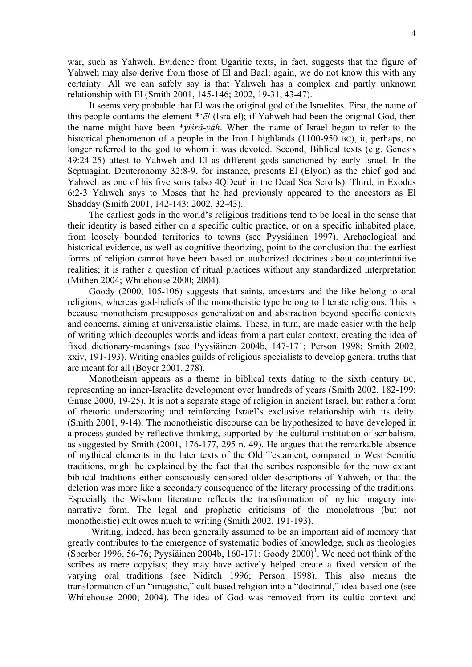war, such as Yahweh. Evidence from Ugaritic texts, in fact, suggests that the figure of Yahweh may also derive from those of El and Baal; again, we do not know this with any certainty. All we can safely say is that Yahweh has a complex and partly unknown relationship with El (Smith 2001, 145-146; 2002, 19-31, 43-47).

It seems very probable that El was the original god of the Israelites. First, the name of this people contains the element \*'*ēl* (Isra-el); if Yahweh had been the original God, then the name might have been \**yiśrâ-yāh*. When the name of Israel began to refer to the historical phenomenon of a people in the Iron I highlands (1100-950 BC), it, perhaps, no longer referred to the god to whom it was devoted. Second, Biblical texts (e.g. Genesis 49:24-25) attest to Yahweh and El as different gods sanctioned by early Israel. In the Septuagint, Deuteronomy 32:8-9, for instance, presents El (Elyon) as the chief god and Yahweh as one of his five sons (also 4QDeut<sup>j</sup> in the Dead Sea Scrolls). Third, in Exodus 6:2-3 Yahweh says to Moses that he had previously appeared to the ancestors as El Shadday (Smith 2001, 142-143; 2002, 32-43).

The earliest gods in the world's religious traditions tend to be local in the sense that their identity is based either on a specific cultic practice, or on a specific inhabited place, from loosely bounded territories to towns (see Pyysiäinen 1997). Archaelogical and historical evidence, as well as cognitive theorizing, point to the conclusion that the earliest forms of religion cannot have been based on authorized doctrines about counterintuitive realities; it is rather a question of ritual practices without any standardized interpretation (Mithen 2004; Whitehouse 2000; 2004).

Goody (2000, 105-106) suggests that saints, ancestors and the like belong to oral religions, whereas god-beliefs of the monotheistic type belong to literate religions. This is because monotheism presupposes generalization and abstraction beyond specific contexts and concerns, aiming at universalistic claims. These, in turn, are made easier with the help of writing which decouples words and ideas from a particular context, creating the idea of fixed dictionary-meanings (see Pyysiäinen 2004b, 147-171; Person 1998; Smith 2002, xxiv, 191-193). Writing enables guilds of religious specialists to develop general truths that are meant for all (Boyer 2001, 278).

Monotheism appears as a theme in biblical texts dating to the sixth century BC, representing an inner-Israelite development over hundreds of years (Smith 2002, 182-199; Gnuse 2000, 19-25). It is not a separate stage of religion in ancient Israel, but rather a form of rhetoric underscoring and reinforcing Israel's exclusive relationship with its deity. (Smith 2001, 9-14). The monotheistic discourse can be hypothesized to have developed in a process guided by reflective thinking, supported by the cultural institution of scribalism, as suggested by Smith (2001, 176-177, 295 n. 49). He argues that the remarkable absence of mythical elements in the later texts of the Old Testament, compared to West Semitic traditions, might be explained by the fact that the scribes responsible for the now extant biblical traditions either consciously censored older descriptions of Yahweh, or that the deletion was more like a secondary consequence of the literary processing of the traditions. Especially the Wisdom literature reflects the transformation of mythic imagery into narrative form. The legal and prophetic criticisms of the monolatrous (but not monotheistic) cult owes much to writing (Smith 2002, 191-193).

 Writing, indeed, has been generally assumed to be an important aid of memory that greatly contributes to the emergence of systematic bodies of knowledge, such as theologies (Sperber [1](#page-34-0)996, 56-76; Pyysiäinen 2004b, 160-171; Goody 2000)<sup>1</sup>. We need not think of the scribes as mere copyists; they may have actively helped create a fixed version of the varying oral traditions (see Niditch 1996; Person 1998). This also means the transformation of an "imagistic," cult-based religion into a "doctrinal," idea-based one (see Whitehouse 2000; 2004). The idea of God was removed from its cultic context and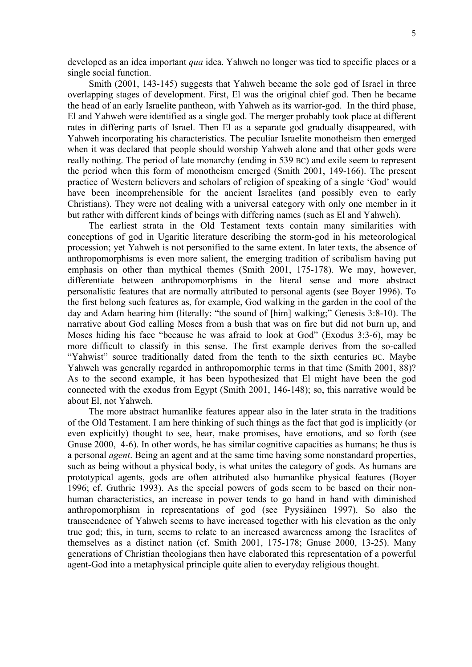developed as an idea important *qua* idea. Yahweh no longer was tied to specific places or a single social function.

Smith (2001, 143-145) suggests that Yahweh became the sole god of Israel in three overlapping stages of development. First, El was the original chief god. Then he became the head of an early Israelite pantheon, with Yahweh as its warrior-god. In the third phase, El and Yahweh were identified as a single god. The merger probably took place at different rates in differing parts of Israel. Then El as a separate god gradually disappeared, with Yahweh incorporating his characteristics. The peculiar Israelite monotheism then emerged when it was declared that people should worship Yahweh alone and that other gods were really nothing. The period of late monarchy (ending in 539 BC) and exile seem to represent the period when this form of monotheism emerged (Smith 2001, 149-166). The present practice of Western believers and scholars of religion of speaking of a single 'God' would have been incomprehensible for the ancient Israelites (and possibly even to early Christians). They were not dealing with a universal category with only one member in it but rather with different kinds of beings with differing names (such as El and Yahweh).

The earliest strata in the Old Testament texts contain many similarities with conceptions of god in Ugaritic literature describing the storm-god in his meteorological procession; yet Yahweh is not personified to the same extent. In later texts, the absence of anthropomorphisms is even more salient, the emerging tradition of scribalism having put emphasis on other than mythical themes (Smith 2001, 175-178). We may, however, differentiate between anthropomorphisms in the literal sense and more abstract personalistic features that are normally attributed to personal agents (see Boyer 1996). To the first belong such features as, for example, God walking in the garden in the cool of the day and Adam hearing him (literally: "the sound of [him] walking;" Genesis 3:8-10). The narrative about God calling Moses from a bush that was on fire but did not burn up, and Moses hiding his face "because he was afraid to look at God" (Exodus 3:3-6), may be more difficult to classify in this sense. The first example derives from the so-called "Yahwist" source traditionally dated from the tenth to the sixth centuries BC. Maybe Yahweh was generally regarded in anthropomorphic terms in that time (Smith 2001, 88)? As to the second example, it has been hypothesized that El might have been the god connected with the exodus from Egypt (Smith 2001, 146-148); so, this narrative would be about El, not Yahweh.

The more abstract humanlike features appear also in the later strata in the traditions of the Old Testament. I am here thinking of such things as the fact that god is implicitly (or even explicitly) thought to see, hear, make promises, have emotions, and so forth (see Gnuse 2000, 4-6). In other words, he has similar cognitive capacities as humans; he thus is a personal *agent*. Being an agent and at the same time having some nonstandard properties, such as being without a physical body, is what unites the category of gods. As humans are prototypical agents, gods are often attributed also humanlike physical features (Boyer 1996; cf. Guthrie 1993). As the special powers of gods seem to be based on their nonhuman characteristics, an increase in power tends to go hand in hand with diminished anthropomorphism in representations of god (see Pyysiäinen 1997). So also the transcendence of Yahweh seems to have increased together with his elevation as the only true god; this, in turn, seems to relate to an increased awareness among the Israelites of themselves as a distinct nation (cf. Smith 2001, 175-178; Gnuse 2000, 13-25). Many generations of Christian theologians then have elaborated this representation of a powerful agent-God into a metaphysical principle quite alien to everyday religious thought.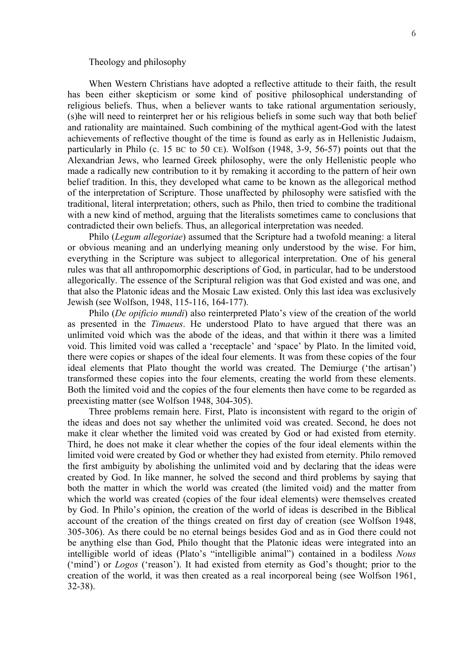#### Theology and philosophy

When Western Christians have adopted a reflective attitude to their faith, the result has been either skepticism or some kind of positive philosophical understanding of religious beliefs. Thus, when a believer wants to take rational argumentation seriously, (s)he will need to reinterpret her or his religious beliefs in some such way that both belief and rationality are maintained. Such combining of the mythical agent-God with the latest achievements of reflective thought of the time is found as early as in Hellenistic Judaism, particularly in Philo (c. 15 BC to 50 CE). Wolfson (1948, 3-9, 56-57) points out that the Alexandrian Jews, who learned Greek philosophy, were the only Hellenistic people who made a radically new contribution to it by remaking it according to the pattern of heir own belief tradition. In this, they developed what came to be known as the allegorical method of the interpretation of Scripture. Those unaffected by philosophy were satisfied with the traditional, literal interpretation; others, such as Philo, then tried to combine the traditional with a new kind of method, arguing that the literalists sometimes came to conclusions that contradicted their own beliefs. Thus, an allegorical interpretation was needed.

Philo (*Legum allegoriae*) assumed that the Scripture had a twofold meaning: a literal or obvious meaning and an underlying meaning only understood by the wise. For him, everything in the Scripture was subject to allegorical interpretation. One of his general rules was that all anthropomorphic descriptions of God, in particular, had to be understood allegorically. The essence of the Scriptural religion was that God existed and was one, and that also the Platonic ideas and the Mosaic Law existed. Only this last idea was exclusively Jewish (see Wolfson, 1948, 115-116, 164-177).

Philo (*De opificio mundi*) also reinterpreted Plato's view of the creation of the world as presented in the *Timaeus*. He understood Plato to have argued that there was an unlimited void which was the abode of the ideas, and that within it there was a limited void. This limited void was called a 'receptacle' and 'space' by Plato. In the limited void, there were copies or shapes of the ideal four elements. It was from these copies of the four ideal elements that Plato thought the world was created. The Demiurge ('the artisan') transformed these copies into the four elements, creating the world from these elements. Both the limited void and the copies of the four elements then have come to be regarded as preexisting matter (see Wolfson 1948, 304-305).

Three problems remain here. First, Plato is inconsistent with regard to the origin of the ideas and does not say whether the unlimited void was created. Second, he does not make it clear whether the limited void was created by God or had existed from eternity. Third, he does not make it clear whether the copies of the four ideal elements within the limited void were created by God or whether they had existed from eternity. Philo removed the first ambiguity by abolishing the unlimited void and by declaring that the ideas were created by God. In like manner, he solved the second and third problems by saying that both the matter in which the world was created (the limited void) and the matter from which the world was created (copies of the four ideal elements) were themselves created by God. In Philo's opinion, the creation of the world of ideas is described in the Biblical account of the creation of the things created on first day of creation (see Wolfson 1948, 305-306). As there could be no eternal beings besides God and as in God there could not be anything else than God, Philo thought that the Platonic ideas were integrated into an intelligible world of ideas (Plato's "intelligible animal") contained in a bodiless *Nous* ('mind') or *Logos* ('reason'). It had existed from eternity as God's thought; prior to the creation of the world, it was then created as a real incorporeal being (see Wolfson 1961, 32-38).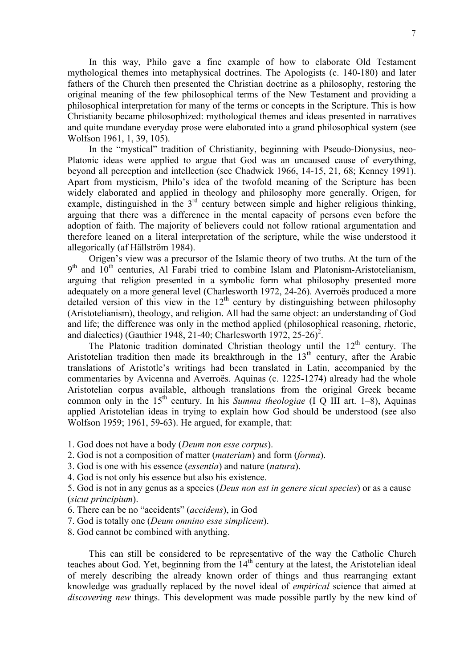In this way, Philo gave a fine example of how to elaborate Old Testament mythological themes into metaphysical doctrines. The Apologists (c. 140-180) and later fathers of the Church then presented the Christian doctrine as a philosophy, restoring the original meaning of the few philosophical terms of the New Testament and providing a philosophical interpretation for many of the terms or concepts in the Scripture. This is how Christianity became philosophized: mythological themes and ideas presented in narratives and quite mundane everyday prose were elaborated into a grand philosophical system (see Wolfson 1961, 1, 39, 105).

In the "mystical" tradition of Christianity, beginning with Pseudo-Dionysius, neo-Platonic ideas were applied to argue that God was an uncaused cause of everything, beyond all perception and intellection (see Chadwick 1966, 14-15, 21, 68; Kenney 1991). Apart from mysticism, Philo's idea of the twofold meaning of the Scripture has been widely elaborated and applied in theology and philosophy more generally. Origen, for example, distinguished in the  $3<sup>rd</sup>$  century between simple and higher religious thinking, arguing that there was a difference in the mental capacity of persons even before the adoption of faith. The majority of believers could not follow rational argumentation and therefore leaned on a literal interpretation of the scripture, while the wise understood it allegorically (af Hällström 1984).

Origen's view was a precursor of the Islamic theory of two truths. At the turn of the  $9<sup>th</sup>$  and  $10<sup>th</sup>$  centuries, Al Farabi tried to combine Islam and Platonism-Aristotelianism, arguing that religion presented in a symbolic form what philosophy presented more adequately on a more general level (Charlesworth 1972, 24-26). Averroës produced a more detailed version of this view in the  $12<sup>th</sup>$  century by distinguishing between philosophy (Aristotelianism), theology, and religion. All had the same object: an understanding of God and life; the difference was only in the method applied (philosophical reasoning, rhetoric, and dialectics) (Gauthier 1948, [2](#page-34-1)1-40; Charlesworth 1972, 25-26)<sup>2</sup>.

The Platonic tradition dominated Christian theology until the  $12<sup>th</sup>$  century. The Aristotelian tradition then made its breakthrough in the  $13<sup>th</sup>$  century, after the Arabic translations of Aristotle's writings had been translated in Latin, accompanied by the commentaries by Avicenna and Averroës. Aquinas (c. 1225-1274) already had the whole Aristotelian corpus available, although translations from the original Greek became common only in the 15<sup>th</sup> century. In his *Summa theologiae* (I Q III art. 1–8), Aquinas applied Aristotelian ideas in trying to explain how God should be understood (see also Wolfson 1959; 1961, 59-63). He argued, for example, that:

- 1. God does not have a body (*Deum non esse corpus*).
- 2. God is not a composition of matter (*materiam*) and form (*forma*).
- 3. God is one with his essence (*essentia*) and nature (*natura*).
- 4. God is not only his essence but also his existence.

5. God is not in any genus as a species (*Deus non est in genere sicut species*) or as a cause (*sicut principium*).

- 6. There can be no "accidents" (*accidens*), in God
- 7. God is totally one (*Deum omnino esse simplicem*).
- 8. God cannot be combined with anything.

This can still be considered to be representative of the way the Catholic Church teaches about God. Yet, beginning from the  $14<sup>th</sup>$  century at the latest, the Aristotelian ideal of merely describing the already known order of things and thus rearranging extant knowledge was gradually replaced by the novel ideal of *empirical* science that aimed at *discovering new* things. This development was made possible partly by the new kind of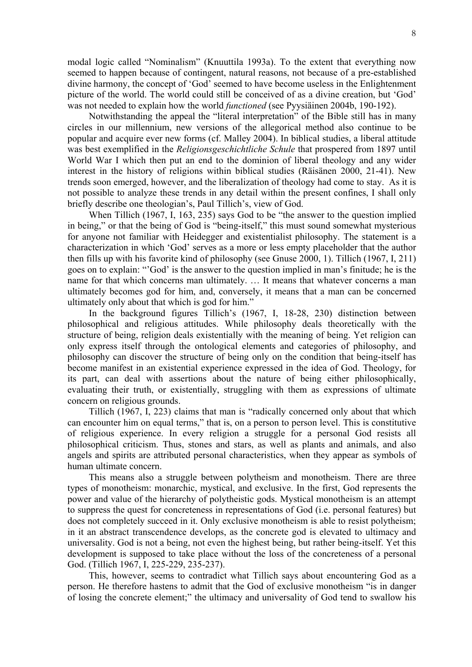modal logic called "Nominalism" (Knuuttila 1993a). To the extent that everything now seemed to happen because of contingent, natural reasons, not because of a pre-established divine harmony, the concept of 'God' seemed to have become useless in the Enlightenment picture of the world. The world could still be conceived of as a divine creation, but 'God' was not needed to explain how the world *functioned* (see Pyysiäinen 2004b, 190-192).

Notwithstanding the appeal the "literal interpretation" of the Bible still has in many circles in our millennium, new versions of the allegorical method also continue to be popular and acquire ever new forms (cf. Malley 2004). In biblical studies, a liberal attitude was best exemplified in the *Religionsgeschichtliche Schule* that prospered from 1897 until World War I which then put an end to the dominion of liberal theology and any wider interest in the history of religions within biblical studies (Räisänen 2000, 21-41). New trends soon emerged, however, and the liberalization of theology had come to stay. As it is not possible to analyze these trends in any detail within the present confines, I shall only briefly describe one theologian's, Paul Tillich's, view of God.

When Tillich (1967, I, 163, 235) says God to be "the answer to the question implied in being," or that the being of God is "being-itself," this must sound somewhat mysterious for anyone not familiar with Heidegger and existentialist philosophy. The statement is a characterization in which 'God' serves as a more or less empty placeholder that the author then fills up with his favorite kind of philosophy (see Gnuse 2000, 1). Tillich (1967, I, 211) goes on to explain: "'God' is the answer to the question implied in man's finitude; he is the name for that which concerns man ultimately. … It means that whatever concerns a man ultimately becomes god for him, and, conversely, it means that a man can be concerned ultimately only about that which is god for him."

In the background figures Tillich's (1967, I, 18-28, 230) distinction between philosophical and religious attitudes. While philosophy deals theoretically with the structure of being, religion deals existentially with the meaning of being. Yet religion can only express itself through the ontological elements and categories of philosophy, and philosophy can discover the structure of being only on the condition that being-itself has become manifest in an existential experience expressed in the idea of God. Theology, for its part, can deal with assertions about the nature of being either philosophically, evaluating their truth, or existentially, struggling with them as expressions of ultimate concern on religious grounds.

Tillich (1967, I, 223) claims that man is "radically concerned only about that which can encounter him on equal terms," that is, on a person to person level. This is constitutive of religious experience. In every religion a struggle for a personal God resists all philosophical criticism. Thus, stones and stars, as well as plants and animals, and also angels and spirits are attributed personal characteristics, when they appear as symbols of human ultimate concern.

This means also a struggle between polytheism and monotheism. There are three types of monotheism: monarchic, mystical, and exclusive. In the first, God represents the power and value of the hierarchy of polytheistic gods. Mystical monotheism is an attempt to suppress the quest for concreteness in representations of God (i.e. personal features) but does not completely succeed in it. Only exclusive monotheism is able to resist polytheism; in it an abstract transcendence develops, as the concrete god is elevated to ultimacy and universality. God is not a being, not even the highest being, but rather being-itself. Yet this development is supposed to take place without the loss of the concreteness of a personal God. (Tillich 1967, I, 225-229, 235-237).

This, however, seems to contradict what Tillich says about encountering God as a person. He therefore hastens to admit that the God of exclusive monotheism "is in danger of losing the concrete element;" the ultimacy and universality of God tend to swallow his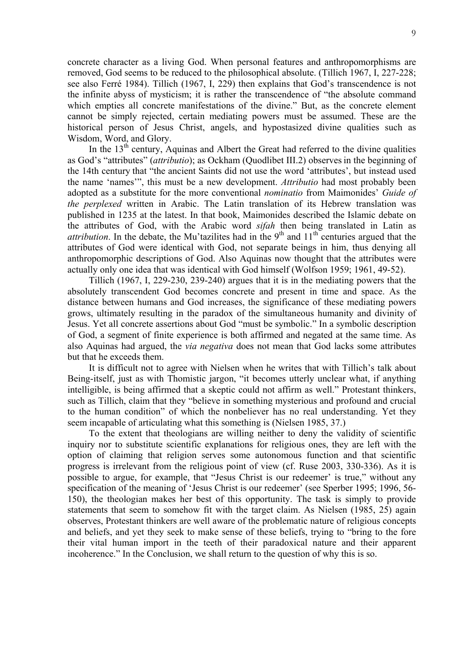concrete character as a living God. When personal features and anthropomorphisms are removed, God seems to be reduced to the philosophical absolute. (Tillich 1967, I, 227-228; see also Ferré 1984). Tillich (1967, I, 229) then explains that God's transcendence is not the infinite abyss of mysticism; it is rather the transcendence of "the absolute command which empties all concrete manifestations of the divine." But, as the concrete element cannot be simply rejected, certain mediating powers must be assumed. These are the historical person of Jesus Christ, angels, and hypostasized divine qualities such as Wisdom, Word, and Glory.

In the  $13<sup>th</sup>$  century, Aquinas and Albert the Great had referred to the divine qualities as God's "attributes" (*attributio*); as Ockham (Quodlibet III.2) observesin the beginning of the 14th century that "the ancient Saints did not use the word 'attributes', but instead used the name 'names'", this must be a new development. *Attributio* had most probably been adopted as a substitute for the more conventional *nominatio* from Maimonides' *Guide of the perplexed* written in Arabic. The Latin translation of its Hebrew translation was published in 1235 at the latest. In that book, Maimonides described the Islamic debate on the attributes of God, with the Arabic word *sifah* then being translated in Latin as *attribution*. In the debate, the Mu'tazilites had in the 9<sup>th</sup> and 11<sup>th</sup> centuries argued that the attributes of God were identical with God, not separate beings in him, thus denying all anthropomorphic descriptions of God. Also Aquinas now thought that the attributes were actually only one idea that was identical with God himself (Wolfson 1959; 1961, 49-52).

Tillich (1967, I, 229-230, 239-240) argues that it is in the mediating powers that the absolutely transcendent God becomes concrete and present in time and space. As the distance between humans and God increases, the significance of these mediating powers grows, ultimately resulting in the paradox of the simultaneous humanity and divinity of Jesus. Yet all concrete assertions about God "must be symbolic." In a symbolic description of God, a segment of finite experience is both affirmed and negated at the same time. As also Aquinas had argued, the *via negativa* does not mean that God lacks some attributes but that he exceeds them.

It is difficult not to agree with Nielsen when he writes that with Tillich's talk about Being-itself, just as with Thomistic jargon, "it becomes utterly unclear what, if anything intelligible, is being affirmed that a skeptic could not affirm as well." Protestant thinkers, such as Tillich, claim that they "believe in something mysterious and profound and crucial to the human condition" of which the nonbeliever has no real understanding. Yet they seem incapable of articulating what this something is (Nielsen 1985, 37.)

To the extent that theologians are willing neither to deny the validity of scientific inquiry nor to substitute scientific explanations for religious ones, they are left with the option of claiming that religion serves some autonomous function and that scientific progress is irrelevant from the religious point of view (cf. Ruse 2003, 330-336). As it is possible to argue, for example, that "Jesus Christ is our redeemer' is true," without any specification of the meaning of 'Jesus Christ is our redeemer' (see Sperber 1995; 1996, 56- 150), the theologian makes her best of this opportunity. The task is simply to provide statements that seem to somehow fit with the target claim. As Nielsen (1985, 25) again observes, Protestant thinkers are well aware of the problematic nature of religious concepts and beliefs, and yet they seek to make sense of these beliefs, trying to "bring to the fore their vital human import in the teeth of their paradoxical nature and their apparent incoherence." In the Conclusion, we shall return to the question of why this is so.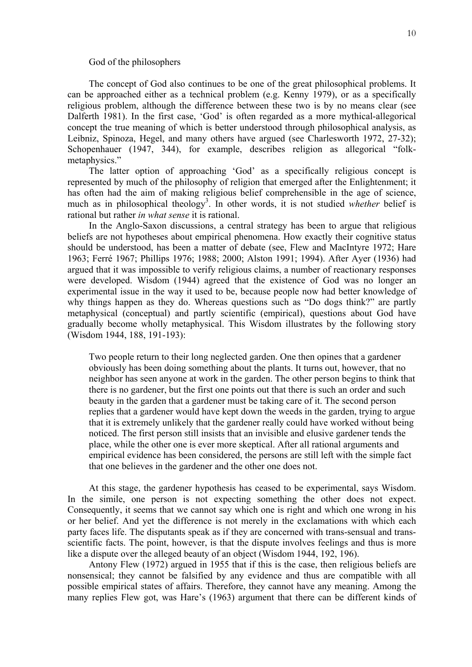### God of the philosophers

The concept of God also continues to be one of the great philosophical problems. It can be approached either as a technical problem (e.g. Kenny 1979), or as a specifically religious problem, although the difference between these two is by no means clear (see Dalferth 1981). In the first case, 'God' is often regarded as a more mythical-allegorical concept the true meaning of which is better understood through philosophical analysis, as Leibniz, Spinoza, Hegel, and many others have argued (see Charlesworth 1972, 27-32); Schopenhauer (1947, 344), for example, describes religion as allegorical "folkmetaphysics."

The latter option of approaching 'God' as a specifically religious concept is represented by much of the philosophy of religion that emerged after the Enlightenment; it has often had the aim of making religious belief comprehensible in the age of science, much as in philosophical theology<sup>[3](#page-34-2)</sup>. In other words, it is not studied *whether* belief is rational but rather *in what sense* it is rational.

In the Anglo-Saxon discussions, a central strategy has been to argue that religious beliefs are not hypotheses about empirical phenomena. How exactly their cognitive status should be understood, has been a matter of debate (see, Flew and MacIntyre 1972; Hare 1963; Ferré 1967; Phillips 1976; 1988; 2000; Alston 1991; 1994). After Ayer (1936) had argued that it was impossible to verify religious claims, a number of reactionary responses were developed. Wisdom (1944) agreed that the existence of God was no longer an experimental issue in the way it used to be, because people now had better knowledge of why things happen as they do. Whereas questions such as "Do dogs think?" are partly metaphysical (conceptual) and partly scientific (empirical), questions about God have gradually become wholly metaphysical. This Wisdom illustrates by the following story (Wisdom 1944, 188, 191-193):

Two people return to their long neglected garden. One then opines that a gardener obviously has been doing something about the plants. It turns out, however, that no neighbor has seen anyone at work in the garden. The other person begins to think that there is no gardener, but the first one points out that there is such an order and such beauty in the garden that a gardener must be taking care of it. The second person replies that a gardener would have kept down the weeds in the garden, trying to argue that it is extremely unlikely that the gardener really could have worked without being noticed. The first person still insists that an invisible and elusive gardener tends the place, while the other one is ever more skeptical. After all rational arguments and empirical evidence has been considered, the persons are still left with the simple fact that one believes in the gardener and the other one does not.

At this stage, the gardener hypothesis has ceased to be experimental, says Wisdom. In the simile, one person is not expecting something the other does not expect. Consequently, it seems that we cannot say which one is right and which one wrong in his or her belief. And yet the difference is not merely in the exclamations with which each party faces life. The disputants speak as if they are concerned with trans-sensual and transscientific facts. The point, however, is that the dispute involves feelings and thus is more like a dispute over the alleged beauty of an object (Wisdom 1944, 192, 196).

Antony Flew (1972) argued in 1955 that if this is the case, then religious beliefs are nonsensical; they cannot be falsified by any evidence and thus are compatible with all possible empirical states of affairs. Therefore, they cannot have any meaning. Among the many replies Flew got, was Hare's (1963) argument that there can be different kinds of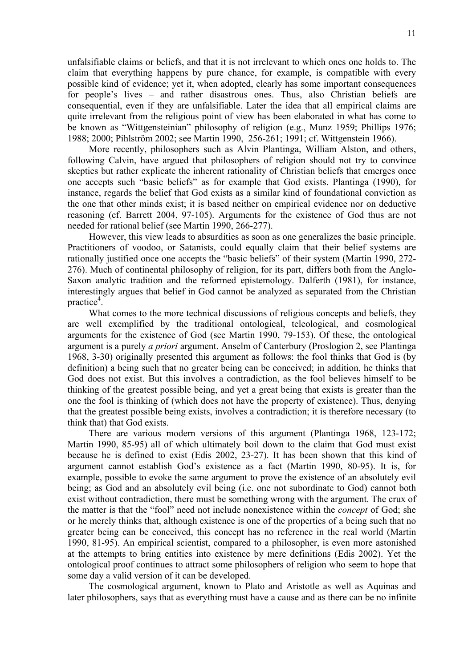unfalsifiable claims or beliefs, and that it is not irrelevant to which ones one holds to. The claim that everything happens by pure chance, for example, is compatible with every possible kind of evidence; yet it, when adopted, clearly has some important consequences for people's lives – and rather disastrous ones. Thus, also Christian beliefs are consequential, even if they are unfalsifiable. Later the idea that all empirical claims are quite irrelevant from the religious point of view has been elaborated in what has come to be known as "Wittgensteinian" philosophy of religion (e.g., Munz 1959; Phillips 1976; 1988; 2000; Pihlström 2002; see Martin 1990, 256-261; 1991; cf. Wittgenstein 1966).

More recently, philosophers such as Alvin Plantinga, William Alston, and others, following Calvin, have argued that philosophers of religion should not try to convince skeptics but rather explicate the inherent rationality of Christian beliefs that emerges once one accepts such "basic beliefs" as for example that God exists. Plantinga (1990), for instance, regards the belief that God exists as a similar kind of foundational conviction as the one that other minds exist; it is based neither on empirical evidence nor on deductive reasoning (cf. Barrett 2004, 97-105). Arguments for the existence of God thus are not needed for rational belief (see Martin 1990, 266-277).

However, this view leads to absurdities as soon as one generalizes the basic principle. Practitioners of voodoo, or Satanists, could equally claim that their belief systems are rationally justified once one accepts the "basic beliefs" of their system (Martin 1990, 272- 276). Much of continental philosophy of religion, for its part, differs both from the Anglo-Saxon analytic tradition and the reformed epistemology. Dalferth (1981), for instance, interestingly argues that belief in God cannot be analyzed as separated from the Christian practice<sup>4</sup>.

What comes to the more technical discussions of religious concepts and beliefs, they are well exemplified by the traditional ontological, teleological, and cosmological arguments for the existence of God (see Martin 1990, 79-153). Of these, the ontological argument is a purely *a priori* argument. Anselm of Canterbury (Proslogion 2, see Plantinga 1968, 3-30) originally presented this argument as follows: the fool thinks that God is (by definition) a being such that no greater being can be conceived; in addition, he thinks that God does not exist. But this involves a contradiction, as the fool believes himself to be thinking of the greatest possible being, and yet a great being that exists is greater than the one the fool is thinking of (which does not have the property of existence). Thus, denying that the greatest possible being exists, involves a contradiction; it is therefore necessary (to think that) that God exists.

There are various modern versions of this argument (Plantinga 1968, 123-172; Martin 1990, 85-95) all of which ultimately boil down to the claim that God must exist because he is defined to exist (Edis 2002, 23-27). It has been shown that this kind of argument cannot establish God's existence as a fact (Martin 1990, 80-95). It is, for example, possible to evoke the same argument to prove the existence of an absolutely evil being; as God and an absolutely evil being (i.e. one not subordinate to God) cannot both exist without contradiction, there must be something wrong with the argument. The crux of the matter is that the "fool" need not include nonexistence within the *concept* of God; she or he merely thinks that, although existence is one of the properties of a being such that no greater being can be conceived, this concept has no reference in the real world (Martin 1990, 81-95). An empirical scientist, compared to a philosopher, is even more astonished at the attempts to bring entities into existence by mere definitions (Edis 2002). Yet the ontological proof continues to attract some philosophers of religion who seem to hope that some day a valid version of it can be developed.

The cosmological argument, known to Plato and Aristotle as well as Aquinas and later philosophers, says that as everything must have a cause and as there can be no infinite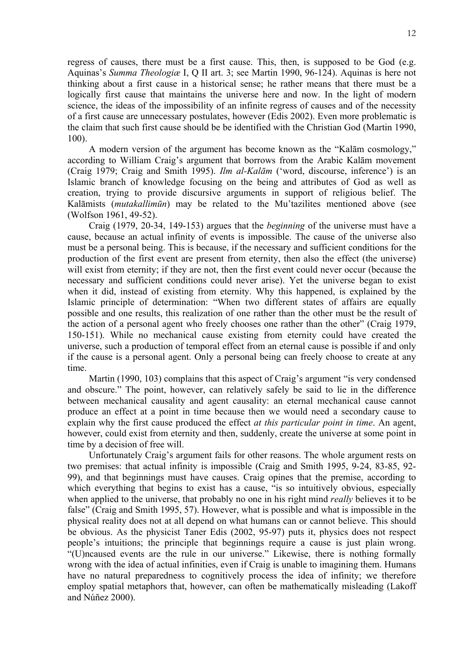regress of causes, there must be a first cause. This, then, is supposed to be God (e.g. Aquinas's *Summa Theologiæ* I, Q II art. 3; see Martin 1990, 96-124). Aquinas is here not thinking about a first cause in a historical sense; he rather means that there must be a logically first cause that maintains the universe here and now. In the light of modern science, the ideas of the impossibility of an infinite regress of causes and of the necessity of a first cause are unnecessary postulates, however (Edis 2002). Even more problematic is the claim that such first cause should be be identified with the Christian God (Martin 1990, 100).

A modern version of the argument has become known as the "Kalām cosmology," according to William Craig's argument that borrows from the Arabic Kalām movement (Craig 1979; Craig and Smith 1995). *Ilm al-Kalām* ('word, discourse, inference') is an Islamic branch of knowledge focusing on the being and attributes of God as well as creation, trying to provide discursive arguments in support of religious belief. The Kalāmists (*mutakallimūn*) may be related to the Mu'tazilites mentioned above (see (Wolfson 1961, 49-52).

Craig (1979, 20-34, 149-153) argues that the *beginning* of the universe must have a cause, because an actual infinity of events is impossible. The cause of the universe also must be a personal being. This is because, if the necessary and sufficient conditions for the production of the first event are present from eternity, then also the effect (the universe) will exist from eternity; if they are not, then the first event could never occur (because the necessary and sufficient conditions could never arise). Yet the universe began to exist when it did, instead of existing from eternity. Why this happened, is explained by the Islamic principle of determination: "When two different states of affairs are equally possible and one results, this realization of one rather than the other must be the result of the action of a personal agent who freely chooses one rather than the other" (Craig 1979, 150-151). While no mechanical cause existing from eternity could have created the universe, such a production of temporal effect from an eternal cause is possible if and only if the cause is a personal agent. Only a personal being can freely choose to create at any time.

Martin (1990, 103) complains that this aspect of Craig's argument "is very condensed and obscure." The point, however, can relatively safely be said to lie in the difference between mechanical causality and agent causality: an eternal mechanical cause cannot produce an effect at a point in time because then we would need a secondary cause to explain why the first cause produced the effect *at this particular point in time*. An agent, however, could exist from eternity and then, suddenly, create the universe at some point in time by a decision of free will.

Unfortunately Craig's argument fails for other reasons. The whole argument rests on two premises: that actual infinity is impossible (Craig and Smith 1995, 9-24, 83-85, 92- 99), and that beginnings must have causes. Craig opines that the premise, according to which everything that begins to exist has a cause, "is so intuitively obvious, especially when applied to the universe, that probably no one in his right mind *really* believes it to be false" (Craig and Smith 1995, 57). However, what is possible and what is impossible in the physical reality does not at all depend on what humans can or cannot believe. This should be obvious. As the physicist Taner Edis (2002, 95-97) puts it, physics does not respect people's intuitions; the principle that beginnings require a cause is just plain wrong. "(U)ncaused events are the rule in our universe." Likewise, there is nothing formally wrong with the idea of actual infinities, even if Craig is unable to imagining them. Humans have no natural preparedness to cognitively process the idea of infinity; we therefore employ spatial metaphors that, however, can often be mathematically misleading (Lakoff and Núñez 2000).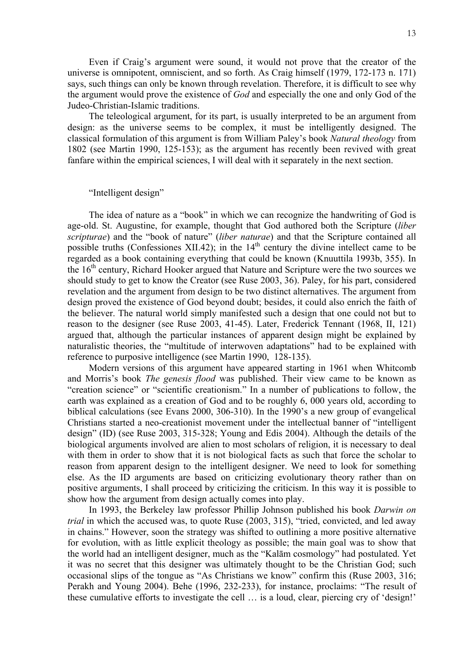Even if Craig's argument were sound, it would not prove that the creator of the universe is omnipotent, omniscient, and so forth. As Craig himself (1979, 172-173 n. 171) says, such things can only be known through revelation. Therefore, it is difficult to see why the argument would prove the existence of *God* and especially the one and only God of the Judeo-Christian-Islamic traditions.

The teleological argument, for its part, is usually interpreted to be an argument from design: as the universe seems to be complex, it must be intelligently designed. The classical formulation of this argument is from William Paley's book *Natural theology* from 1802 (see Martin 1990, 125-153); as the argument has recently been revived with great fanfare within the empirical sciences, I will deal with it separately in the next section.

# "Intelligent design"

The idea of nature as a "book" in which we can recognize the handwriting of God is age-old. St. Augustine, for example, thought that God authored both the Scripture (*liber scripturae*) and the "book of nature" (*liber naturae*) and that the Scripture contained all possible truths (Confessiones XII.42); in the  $14<sup>th</sup>$  century the divine intellect came to be regarded as a book containing everything that could be known (Knuuttila 1993b, 355). In the  $16<sup>th</sup>$  century, Richard Hooker argued that Nature and Scripture were the two sources we should study to get to know the Creator (see Ruse 2003, 36). Paley, for his part, considered revelation and the argument from design to be two distinct alternatives. The argument from design proved the existence of God beyond doubt; besides, it could also enrich the faith of the believer. The natural world simply manifested such a design that one could not but to reason to the designer (see Ruse 2003, 41-45). Later, Frederick Tennant (1968, II, 121) argued that, although the particular instances of apparent design might be explained by naturalistic theories, the "multitude of interwoven adaptations" had to be explained with reference to purposive intelligence (see Martin 1990, 128-135).

Modern versions of this argument have appeared starting in 1961 when Whitcomb and Morris's book *The genesis flood* was published. Their view came to be known as "creation science" or "scientific creationism." In a number of publications to follow, the earth was explained as a creation of God and to be roughly 6, 000 years old, according to biblical calculations (see Evans 2000, 306-310). In the 1990's a new group of evangelical Christians started a neo-creationist movement under the intellectual banner of "intelligent design" (ID) (see Ruse 2003, 315-328; Young and Edis 2004). Although the details of the biological arguments involved are alien to most scholars of religion, it is necessary to deal with them in order to show that it is not biological facts as such that force the scholar to reason from apparent design to the intelligent designer. We need to look for something else. As the ID arguments are based on criticizing evolutionary theory rather than on positive arguments, I shall proceed by criticizing the criticism. In this way it is possible to show how the argument from design actually comes into play.

In 1993, the Berkeley law professor Phillip Johnson published his book *Darwin on trial* in which the accused was, to quote Ruse (2003, 315), "tried, convicted, and led away in chains." However, soon the strategy was shifted to outlining a more positive alternative for evolution, with as little explicit theology as possible; the main goal was to show that the world had an intelligent designer, much as the "Kalām cosmology" had postulated. Yet it was no secret that this designer was ultimately thought to be the Christian God; such occasional slips of the tongue as "As Christians we know" confirm this (Ruse 2003, 316; Perakh and Young 2004). Behe (1996, 232-233), for instance, proclaims: "The result of these cumulative efforts to investigate the cell … is a loud, clear, piercing cry of 'design!'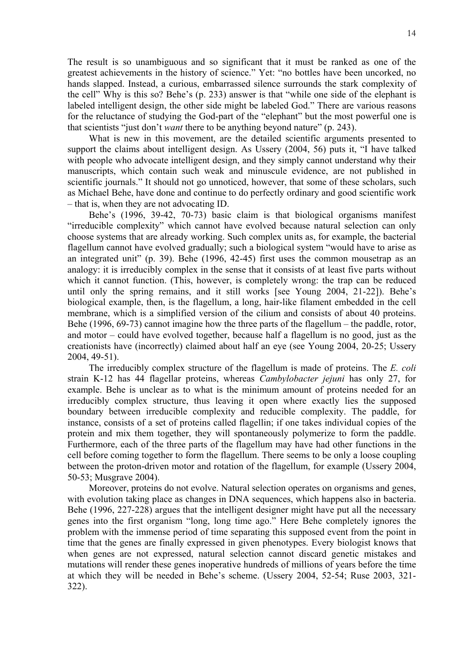The result is so unambiguous and so significant that it must be ranked as one of the greatest achievements in the history of science." Yet: "no bottles have been uncorked, no hands slapped. Instead, a curious, embarrassed silence surrounds the stark complexity of the cell" Why is this so? Behe's (p. 233) answer is that "while one side of the elephant is labeled intelligent design, the other side might be labeled God." There are various reasons for the reluctance of studying the God-part of the "elephant" but the most powerful one is that scientists "just don't *want* there to be anything beyond nature" (p. 243).

What is new in this movement, are the detailed scientific arguments presented to support the claims about intelligent design. As Ussery (2004, 56) puts it, "I have talked with people who advocate intelligent design, and they simply cannot understand why their manuscripts, which contain such weak and minuscule evidence, are not published in scientific journals." It should not go unnoticed, however, that some of these scholars, such as Michael Behe, have done and continue to do perfectly ordinary and good scientific work – that is, when they are not advocating ID.

Behe's (1996, 39-42, 70-73) basic claim is that biological organisms manifest "irreducible complexity" which cannot have evolved because natural selection can only choose systems that are already working. Such complex units as, for example, the bacterial flagellum cannot have evolved gradually; such a biological system "would have to arise as an integrated unit" (p. 39). Behe (1996, 42-45) first uses the common mousetrap as an analogy: it is irreducibly complex in the sense that it consists of at least five parts without which it cannot function. (This, however, is completely wrong: the trap can be reduced until only the spring remains, and it still works [see Young 2004, 21-22]). Behe's biological example, then, is the flagellum, a long, hair-like filament embedded in the cell membrane, which is a simplified version of the cilium and consists of about 40 proteins. Behe (1996, 69-73) cannot imagine how the three parts of the flagellum – the paddle, rotor, and motor – could have evolved together, because half a flagellum is no good, just as the creationists have (incorrectly) claimed about half an eye (see Young 2004, 20-25; Ussery 2004, 49-51).

The irreducibly complex structure of the flagellum is made of proteins. The *E. coli* strain K-12 has 44 flagellar proteins, whereas *Cambylobacter jejuni* has only 27, for example. Behe is unclear as to what is the minimum amount of proteins needed for an irreducibly complex structure, thus leaving it open where exactly lies the supposed boundary between irreducible complexity and reducible complexity. The paddle, for instance, consists of a set of proteins called flagellin; if one takes individual copies of the protein and mix them together, they will spontaneously polymerize to form the paddle. Furthermore, each of the three parts of the flagellum may have had other functions in the cell before coming together to form the flagellum. There seems to be only a loose coupling between the proton-driven motor and rotation of the flagellum, for example (Ussery 2004, 50-53; Musgrave 2004).

Moreover, proteins do not evolve. Natural selection operates on organisms and genes, with evolution taking place as changes in DNA sequences, which happens also in bacteria. Behe (1996, 227-228) argues that the intelligent designer might have put all the necessary genes into the first organism "long, long time ago." Here Behe completely ignores the problem with the immense period of time separating this supposed event from the point in time that the genes are finally expressed in given phenotypes. Every biologist knows that when genes are not expressed, natural selection cannot discard genetic mistakes and mutations will render these genes inoperative hundreds of millions of years before the time at which they will be needed in Behe's scheme. (Ussery 2004, 52-54; Ruse 2003, 321- 322).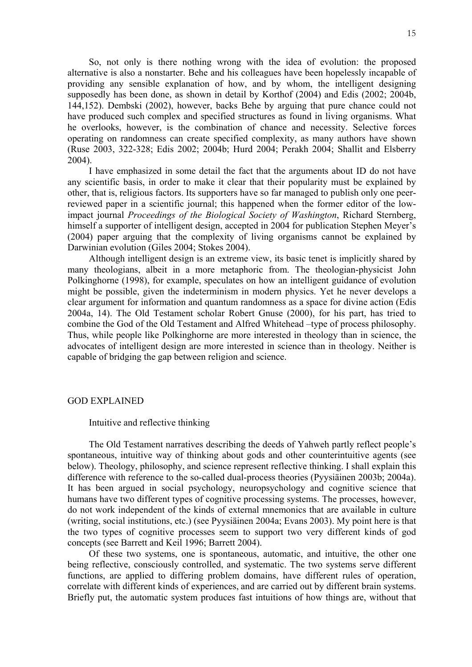So, not only is there nothing wrong with the idea of evolution: the proposed alternative is also a nonstarter. Behe and his colleagues have been hopelessly incapable of providing any sensible explanation of how, and by whom, the intelligent designing supposedly has been done, as shown in detail by Korthof (2004) and Edis (2002; 2004b, 144,152). Dembski (2002), however, backs Behe by arguing that pure chance could not have produced such complex and specified structures as found in living organisms. What he overlooks, however, is the combination of chance and necessity. Selective forces operating on randomness can create specified complexity, as many authors have shown (Ruse 2003, 322-328; Edis 2002; 2004b; Hurd 2004; Perakh 2004; Shallit and Elsberry 2004).

I have emphasized in some detail the fact that the arguments about ID do not have any scientific basis, in order to make it clear that their popularity must be explained by other, that is, religious factors. Its supporters have so far managed to publish only one peerreviewed paper in a scientific journal; this happened when the former editor of the lowimpact journal *Proceedings of the Biological Society of Washington*, Richard Sternberg, himself a supporter of intelligent design, accepted in 2004 for publication Stephen Meyer's (2004) paper arguing that the complexity of living organisms cannot be explained by Darwinian evolution (Giles 2004; Stokes 2004).

Although intelligent design is an extreme view, its basic tenet is implicitly shared by many theologians, albeit in a more metaphoric from. The theologian-physicist John Polkinghorne (1998), for example, speculates on how an intelligent guidance of evolution might be possible, given the indeterminism in modern physics. Yet he never develops a clear argument for information and quantum randomness as a space for divine action (Edis 2004a, 14). The Old Testament scholar Robert Gnuse (2000), for his part, has tried to combine the God of the Old Testament and Alfred Whitehead –type of process philosophy. Thus, while people like Polkinghorne are more interested in theology than in science, the advocates of intelligent design are more interested in science than in theology. Neither is capable of bridging the gap between religion and science.

### GOD EXPLAINED

### Intuitive and reflective thinking

The Old Testament narratives describing the deeds of Yahweh partly reflect people's spontaneous, intuitive way of thinking about gods and other counterintuitive agents (see below). Theology, philosophy, and science represent reflective thinking. I shall explain this difference with reference to the so-called dual-process theories (Pyysiäinen 2003b; 2004a). It has been argued in social psychology, neuropsychology and cognitive science that humans have two different types of cognitive processing systems. The processes, however, do not work independent of the kinds of external mnemonics that are available in culture (writing, social institutions, etc.) (see Pyysiäinen 2004a; Evans 2003). My point here is that the two types of cognitive processes seem to support two very different kinds of god concepts (see Barrett and Keil 1996; Barrett 2004).

Of these two systems, one is spontaneous, automatic, and intuitive, the other one being reflective, consciously controlled, and systematic. The two systems serve different functions, are applied to differing problem domains, have different rules of operation, correlate with different kinds of experiences, and are carried out by different brain systems. Briefly put, the automatic system produces fast intuitions of how things are, without that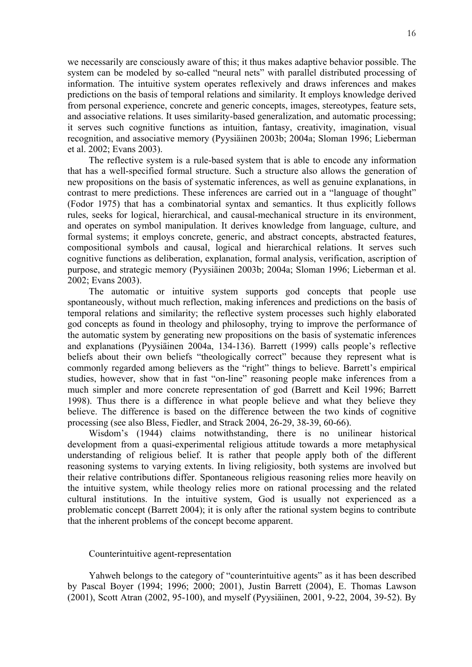we necessarily are consciously aware of this; it thus makes adaptive behavior possible. The system can be modeled by so-called "neural nets" with parallel distributed processing of information. The intuitive system operates reflexively and draws inferences and makes predictions on the basis of temporal relations and similarity. It employs knowledge derived from personal experience, concrete and generic concepts, images, stereotypes, feature sets, and associative relations. It uses similarity-based generalization, and automatic processing; it serves such cognitive functions as intuition, fantasy, creativity, imagination, visual recognition, and associative memory (Pyysiäinen 2003b; 2004a; Sloman 1996; Lieberman et al. 2002; Evans 2003).

The reflective system is a rule-based system that is able to encode any information that has a well-specified formal structure. Such a structure also allows the generation of new propositions on the basis of systematic inferences, as well as genuine explanations, in contrast to mere predictions. These inferences are carried out in a "language of thought" (Fodor 1975) that has a combinatorial syntax and semantics. It thus explicitly follows rules, seeks for logical, hierarchical, and causal-mechanical structure in its environment, and operates on symbol manipulation. It derives knowledge from language, culture, and formal systems; it employs concrete, generic, and abstract concepts, abstracted features, compositional symbols and causal, logical and hierarchical relations. It serves such cognitive functions as deliberation, explanation, formal analysis, verification, ascription of purpose, and strategic memory (Pyysiäinen 2003b; 2004a; Sloman 1996; Lieberman et al. 2002; Evans 2003).

The automatic or intuitive system supports god concepts that people use spontaneously, without much reflection, making inferences and predictions on the basis of temporal relations and similarity; the reflective system processes such highly elaborated god concepts as found in theology and philosophy, trying to improve the performance of the automatic system by generating new propositions on the basis of systematic inferences and explanations (Pyysiäinen 2004a, 134-136). Barrett (1999) calls people's reflective beliefs about their own beliefs "theologically correct" because they represent what is commonly regarded among believers as the "right" things to believe. Barrett's empirical studies, however, show that in fast "on-line" reasoning people make inferences from a much simpler and more concrete representation of god (Barrett and Keil 1996; Barrett 1998). Thus there is a difference in what people believe and what they believe they believe. The difference is based on the difference between the two kinds of cognitive processing (see also Bless, Fiedler, and Strack 2004, 26-29, 38-39, 60-66).

Wisdom's (1944) claims notwithstanding, there is no unilinear historical development from a quasi-experimental religious attitude towards a more metaphysical understanding of religious belief. It is rather that people apply both of the different reasoning systems to varying extents. In living religiosity, both systems are involved but their relative contributions differ. Spontaneous religious reasoning relies more heavily on the intuitive system, while theology relies more on rational processing and the related cultural institutions. In the intuitive system, God is usually not experienced as a problematic concept (Barrett 2004); it is only after the rational system begins to contribute that the inherent problems of the concept become apparent.

## Counterintuitive agent-representation

Yahweh belongs to the category of "counterintuitive agents" as it has been described by Pascal Boyer (1994; 1996; 2000; 2001), Justin Barrett (2004), E. Thomas Lawson (2001), Scott Atran (2002, 95-100), and myself (Pyysiäinen, 2001, 9-22, 2004, 39-52). By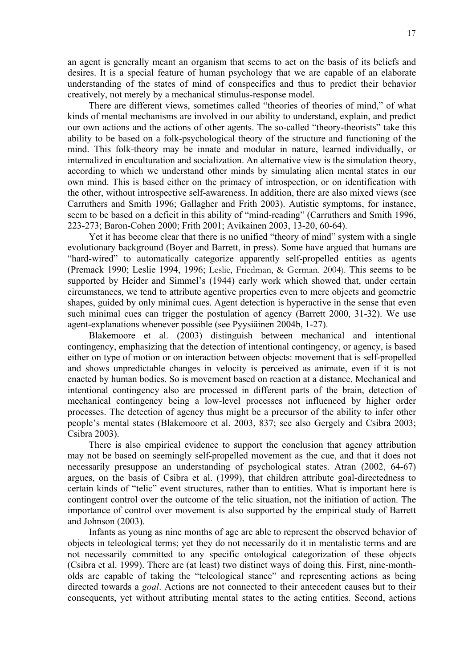an agent is generally meant an organism that seems to act on the basis of its beliefs and desires. It is a special feature of human psychology that we are capable of an elaborate understanding of the states of mind of conspecifics and thus to predict their behavior creatively, not merely by a mechanical stimulus-response model.

There are different views, sometimes called "theories of theories of mind," of what kinds of mental mechanisms are involved in our ability to understand, explain, and predict our own actions and the actions of other agents. The so-called "theory-theorists" take this ability to be based on a folk-psychological theory of the structure and functioning of the mind. This folk-theory may be innate and modular in nature, learned individually, or internalized in enculturation and socialization. An alternative view is the simulation theory, according to which we understand other minds by simulating alien mental states in our own mind. This is based either on the primacy of introspection, or on identification with the other, without introspective self-awareness. In addition, there are also mixed views (see Carruthers and Smith 1996; Gallagher and Frith 2003). Autistic symptoms, for instance, seem to be based on a deficit in this ability of "mind-reading" (Carruthers and Smith 1996, 223-273; Baron-Cohen 2000; Frith 2001; Avikainen 2003, 13-20, 60-64).

Yet it has become clear that there is no unified "theory of mind" system with a single evolutionary background (Boyer and Barrett, in press). Some have argued that humans are "hard-wired" to automatically categorize apparently self-propelled entities as agents (Premack 1990; Leslie 1994, 1996; Leslie, Friedman, & German. 2004). This seems to be supported by Heider and Simmel's (1944) early work which showed that, under certain circumstances, we tend to attribute agentive properties even to mere objects and geometric shapes, guided by only minimal cues. Agent detection is hyperactive in the sense that even such minimal cues can trigger the postulation of agency (Barrett 2000, 31-32). We use agent-explanations whenever possible (see Pyysiäinen 2004b, 1-27).

Blakemoore et al. (2003) distinguish between mechanical and intentional contingency, emphasizing that the detection of intentional contingency, or agency, is based either on type of motion or on interaction between objects: movement that is self-propelled and shows unpredictable changes in velocity is perceived as animate, even if it is not enacted by human bodies. So is movement based on reaction at a distance. Mechanical and intentional contingency also are processed in different parts of the brain, detection of mechanical contingency being a low-level processes not influenced by higher order processes. The detection of agency thus might be a precursor of the ability to infer other people's mental states (Blakemoore et al. 2003, 837; see also Gergely and Csibra 2003; Csibra 2003).

There is also empirical evidence to support the conclusion that agency attribution may not be based on seemingly self-propelled movement as the cue, and that it does not necessarily presuppose an understanding of psychological states. Atran (2002, 64-67) argues, on the basis of Csibra et al. (1999), that children attribute goal-directedness to certain kinds of "telic" event structures, rather than to entities. What is important here is contingent control over the outcome of the telic situation, not the initiation of action. The importance of control over movement is also supported by the empirical study of Barrett and Johnson (2003).

Infants as young as nine months of age are able to represent the observed behavior of objects in teleological terms; yet they do not necessarily do it in mentalistic terms and are not necessarily committed to any specific ontological categorization of these objects (Csibra et al. 1999). There are (at least) two distinct ways of doing this. First, nine-montholds are capable of taking the "teleological stance" and representing actions as being directed towards a *goal*. Actions are not connected to their antecedent causes but to their consequents, yet without attributing mental states to the acting entities. Second, actions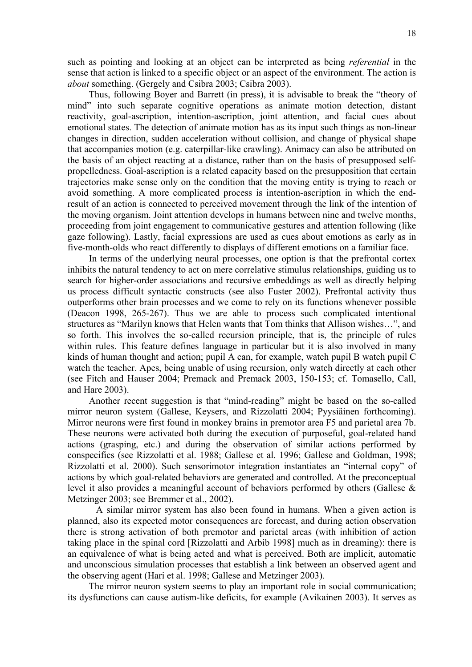such as pointing and looking at an object can be interpreted as being *referential* in the sense that action is linked to a specific object or an aspect of the environment. The action is *about* something. (Gergely and Csibra 2003; Csibra 2003).

Thus, following Boyer and Barrett (in press), it is advisable to break the "theory of mind" into such separate cognitive operations as animate motion detection, distant reactivity, goal-ascription, intention-ascription, joint attention, and facial cues about emotional states. The detection of animate motion has as its input such things as non-linear changes in direction, sudden acceleration without collision, and change of physical shape that accompanies motion (e.g. caterpillar-like crawling). Animacy can also be attributed on the basis of an object reacting at a distance, rather than on the basis of presupposed selfpropelledness. Goal-ascription is a related capacity based on the presupposition that certain trajectories make sense only on the condition that the moving entity is trying to reach or avoid something. A more complicated process is intention-ascription in which the endresult of an action is connected to perceived movement through the link of the intention of the moving organism. Joint attention develops in humans between nine and twelve months, proceeding from joint engagement to communicative gestures and attention following (like gaze following). Lastly, facial expressions are used as cues about emotions as early as in five-month-olds who react differently to displays of different emotions on a familiar face.

In terms of the underlying neural processes, one option is that the prefrontal cortex inhibits the natural tendency to act on mere correlative stimulus relationships, guiding us to search for higher-order associations and recursive embeddings as well as directly helping us process difficult syntactic constructs (see also Fuster 2002). Prefrontal activity thus outperforms other brain processes and we come to rely on its functions whenever possible (Deacon 1998, 265-267). Thus we are able to process such complicated intentional structures as "Marilyn knows that Helen wants that Tom thinks that Allison wishes…", and so forth. This involves the so-called recursion principle, that is, the principle of rules within rules. This feature defines language in particular but it is also involved in many kinds of human thought and action; pupil A can, for example, watch pupil B watch pupil C watch the teacher. Apes, being unable of using recursion, only watch directly at each other (see Fitch and Hauser 2004; Premack and Premack 2003, 150-153; cf. Tomasello, Call, and Hare 2003).

Another recent suggestion is that "mind-reading" might be based on the so-called mirror neuron system (Gallese, Keysers, and Rizzolatti 2004; Pyysiäinen forthcoming). Mirror neurons were first found in monkey brains in premotor area F5 and parietal area 7b. These neurons were activated both during the execution of purposeful, goal-related hand actions (grasping, etc.) and during the observation of similar actions performed by conspecifics (see Rizzolatti et al. 1988; Gallese et al. 1996; Gallese and Goldman, 1998; Rizzolatti et al. 2000). Such sensorimotor integration instantiates an "internal copy" of actions by which goal-related behaviors are generated and controlled. At the preconceptual level it also provides a meaningful account of behaviors performed by others (Gallese & Metzinger 2003; see Bremmer et al., 2002).

A similar mirror system has also been found in humans. When a given action is planned, also its expected motor consequences are forecast, and during action observation there is strong activation of both premotor and parietal areas (with inhibition of action taking place in the spinal cord [Rizzolatti and Arbib 1998] much as in dreaming): there is an equivalence of what is being acted and what is perceived. Both are implicit, automatic and unconscious simulation processes that establish a link between an observed agent and the observing agent (Hari et al. 1998; Gallese and Metzinger 2003).

The mirror neuron system seems to play an important role in social communication; its dysfunctions can cause autism-like deficits, for example (Avikainen 2003). It serves as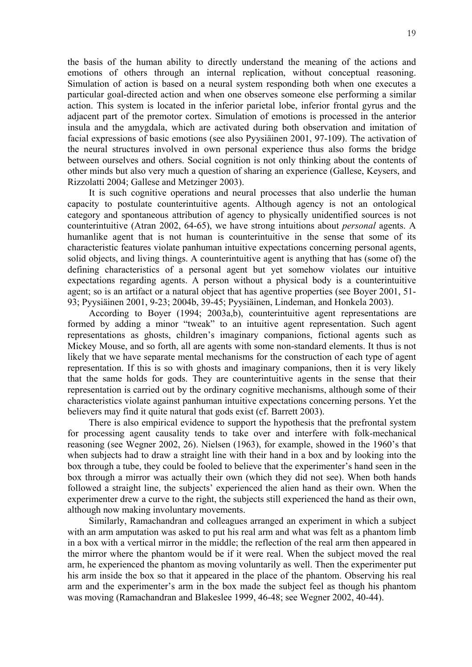the basis of the human ability to directly understand the meaning of the actions and emotions of others through an internal replication, without conceptual reasoning. Simulation of action is based on a neural system responding both when one executes a particular goal-directed action and when one observes someone else performing a similar action. This system is located in the inferior parietal lobe, inferior frontal gyrus and the adjacent part of the premotor cortex. Simulation of emotions is processed in the anterior insula and the amygdala, which are activated during both observation and imitation of facial expressions of basic emotions (see also Pyysiäinen 2001, 97-109). The activation of the neural structures involved in own personal experience thus also forms the bridge between ourselves and others. Social cognition is not only thinking about the contents of other minds but also very much a question of sharing an experience (Gallese, Keysers, and Rizzolatti 2004; Gallese and Metzinger 2003).

It is such cognitive operations and neural processes that also underlie the human capacity to postulate counterintuitive agents. Although agency is not an ontological category and spontaneous attribution of agency to physically unidentified sources is not counterintuitive (Atran 2002, 64-65), we have strong intuitions about *personal* agents. A humanlike agent that is not human is counterintuitive in the sense that some of its characteristic features violate panhuman intuitive expectations concerning personal agents, solid objects, and living things. A counterintuitive agent is anything that has (some of) the defining characteristics of a personal agent but yet somehow violates our intuitive expectations regarding agents. A person without a physical body is a counterintuitive agent; so is an artifact or a natural object that has agentive properties (see Boyer 2001, 51- 93; Pyysiäinen 2001, 9-23; 2004b, 39-45; Pyysiäinen, Lindeman, and Honkela 2003).

According to Boyer (1994; 2003a,b), counterintuitive agent representations are formed by adding a minor "tweak" to an intuitive agent representation. Such agent representations as ghosts, children's imaginary companions, fictional agents such as Mickey Mouse, and so forth, all are agents with some non-standard elements. It thus is not likely that we have separate mental mechanisms for the construction of each type of agent representation. If this is so with ghosts and imaginary companions, then it is very likely that the same holds for gods. They are counterintuitive agents in the sense that their representation is carried out by the ordinary cognitive mechanisms, although some of their characteristics violate against panhuman intuitive expectations concerning persons. Yet the believers may find it quite natural that gods exist (cf. Barrett 2003).

There is also empirical evidence to support the hypothesis that the prefrontal system for processing agent causality tends to take over and interfere with folk-mechanical reasoning (see Wegner 2002, 26). Nielsen (1963), for example, showed in the 1960's that when subjects had to draw a straight line with their hand in a box and by looking into the box through a tube, they could be fooled to believe that the experimenter's hand seen in the box through a mirror was actually their own (which they did not see). When both hands followed a straight line, the subjects' experienced the alien hand as their own. When the experimenter drew a curve to the right, the subjects still experienced the hand as their own, although now making involuntary movements.

Similarly, Ramachandran and colleagues arranged an experiment in which a subject with an arm amputation was asked to put his real arm and what was felt as a phantom limb in a box with a vertical mirror in the middle; the reflection of the real arm then appeared in the mirror where the phantom would be if it were real. When the subject moved the real arm, he experienced the phantom as moving voluntarily as well. Then the experimenter put his arm inside the box so that it appeared in the place of the phantom. Observing his real arm and the experimenter's arm in the box made the subject feel as though his phantom was moving (Ramachandran and Blakeslee 1999, 46-48; see Wegner 2002, 40-44).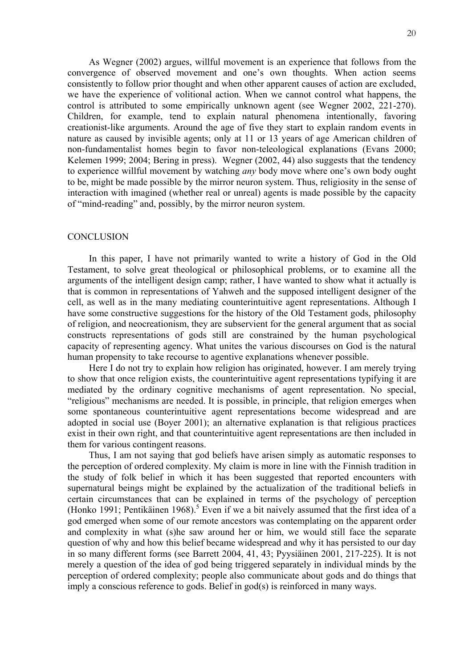As Wegner (2002) argues, willful movement is an experience that follows from the convergence of observed movement and one's own thoughts. When action seems consistently to follow prior thought and when other apparent causes of action are excluded, we have the experience of volitional action. When we cannot control what happens, the control is attributed to some empirically unknown agent (see Wegner 2002, 221-270). Children, for example, tend to explain natural phenomena intentionally, favoring creationist-like arguments. Around the age of five they start to explain random events in nature as caused by invisible agents; only at 11 or 13 years of age American children of non-fundamentalist homes begin to favor non-teleological explanations (Evans 2000; Kelemen 1999; 2004; Bering in press). Wegner (2002, 44) also suggests that the tendency to experience willful movement by watching *any* body move where one's own body ought to be, might be made possible by the mirror neuron system. Thus, religiosity in the sense of interaction with imagined (whether real or unreal) agents is made possible by the capacity of "mind-reading" and, possibly, by the mirror neuron system.

#### **CONCLUSION**

In this paper, I have not primarily wanted to write a history of God in the Old Testament, to solve great theological or philosophical problems, or to examine all the arguments of the intelligent design camp; rather, I have wanted to show what it actually is that is common in representations of Yahweh and the supposed intelligent designer of the cell, as well as in the many mediating counterintuitive agent representations. Although I have some constructive suggestions for the history of the Old Testament gods, philosophy of religion, and neocreationism, they are subservient for the general argument that as social constructs representations of gods still are constrained by the human psychological capacity of representing agency. What unites the various discourses on God is the natural human propensity to take recourse to agentive explanations whenever possible.

Here I do not try to explain how religion has originated, however. I am merely trying to show that once religion exists, the counterintuitive agent representations typifying it are mediated by the ordinary cognitive mechanisms of agent representation. No special, "religious" mechanisms are needed. It is possible, in principle, that religion emerges when some spontaneous counterintuitive agent representations become widespread and are adopted in social use (Boyer 2001); an alternative explanation is that religious practices exist in their own right, and that counterintuitive agent representations are then included in them for various contingent reasons.

Thus, I am not saying that god beliefs have arisen simply as automatic responses to the perception of ordered complexity. My claim is more in line with the Finnish tradition in the study of folk belief in which it has been suggested that reported encounters with supernatural beings might be explained by the actualization of the traditional beliefs in certain circumstances that can be explained in terms of the psychology of perception (Honko 1991; Pentikäinen 1968).<sup>5</sup> Even if we a bit naively assumed that the first idea of a god emerged when some of our remote ancestors was contemplating on the apparent order and complexity in what (s)he saw around her or him, we would still face the separate question of why and how this belief became widespread and why it has persisted to our day in so many different forms (see Barrett 2004, 41, 43; Pyysiäinen 2001, 217-225). It is not merely a question of the idea of god being triggered separately in individual minds by the perception of ordered complexity; people also communicate about gods and do things that imply a conscious reference to gods. Belief in god(s) is reinforced in many ways.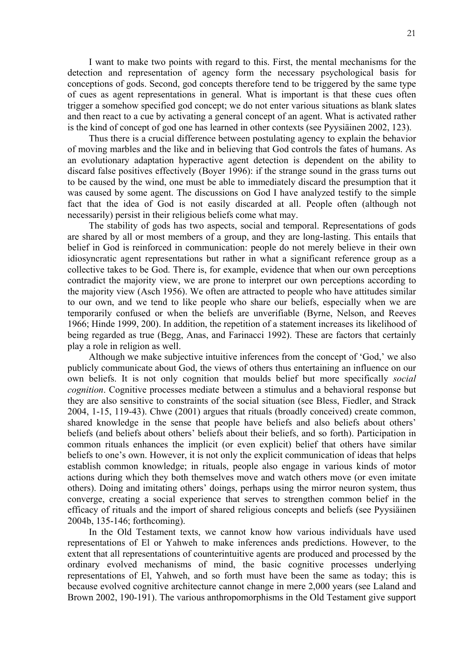I want to make two points with regard to this. First, the mental mechanisms for the detection and representation of agency form the necessary psychological basis for conceptions of gods. Second, god concepts therefore tend to be triggered by the same type of cues as agent representations in general. What is important is that these cues often trigger a somehow specified god concept; we do not enter various situations as blank slates and then react to a cue by activating a general concept of an agent. What is activated rather is the kind of concept of god one has learned in other contexts (see Pyysiäinen 2002, 123).

Thus there is a crucial difference between postulating agency to explain the behavior of moving marbles and the like and in believing that God controls the fates of humans. As an evolutionary adaptation hyperactive agent detection is dependent on the ability to discard false positives effectively (Boyer 1996): if the strange sound in the grass turns out to be caused by the wind, one must be able to immediately discard the presumption that it was caused by some agent. The discussions on God I have analyzed testify to the simple fact that the idea of God is not easily discarded at all. People often (although not necessarily) persist in their religious beliefs come what may.

The stability of gods has two aspects, social and temporal. Representations of gods are shared by all or most members of a group, and they are long-lasting. This entails that belief in God is reinforced in communication: people do not merely believe in their own idiosyncratic agent representations but rather in what a significant reference group as a collective takes to be God. There is, for example, evidence that when our own perceptions contradict the majority view, we are prone to interpret our own perceptions according to the majority view (Asch 1956). We often are attracted to people who have attitudes similar to our own, and we tend to like people who share our beliefs, especially when we are temporarily confused or when the beliefs are unverifiable (Byrne, Nelson, and Reeves 1966; Hinde 1999, 200). In addition, the repetition of a statement increases its likelihood of being regarded as true (Begg, Anas, and Farinacci 1992). These are factors that certainly play a role in religion as well.

Although we make subjective intuitive inferences from the concept of 'God,' we also publicly communicate about God, the views of others thus entertaining an influence on our own beliefs. It is not only cognition that moulds belief but more specifically *social cognition*. Cognitive processes mediate between a stimulus and a behavioral response but they are also sensitive to constraints of the social situation (see Bless, Fiedler, and Strack 2004, 1-15, 119-43). Chwe (2001) argues that rituals (broadly conceived) create common, shared knowledge in the sense that people have beliefs and also beliefs about others' beliefs (and beliefs about others' beliefs about their beliefs, and so forth). Participation in common rituals enhances the implicit (or even explicit) belief that others have similar beliefs to one's own. However, it is not only the explicit communication of ideas that helps establish common knowledge; in rituals, people also engage in various kinds of motor actions during which they both themselves move and watch others move (or even imitate others). Doing and imitating others' doings, perhaps using the mirror neuron system, thus converge, creating a social experience that serves to strengthen common belief in the efficacy of rituals and the import of shared religious concepts and beliefs (see Pyysiäinen 2004b, 135-146; forthcoming).

In the Old Testament texts, we cannot know how various individuals have used representations of El or Yahweh to make inferences ands predictions. However, to the extent that all representations of counterintuitive agents are produced and processed by the ordinary evolved mechanisms of mind, the basic cognitive processes underlying representations of El, Yahweh, and so forth must have been the same as today; this is because evolved cognitive architecture cannot change in mere 2,000 years (see Laland and Brown 2002, 190-191). The various anthropomorphisms in the Old Testament give support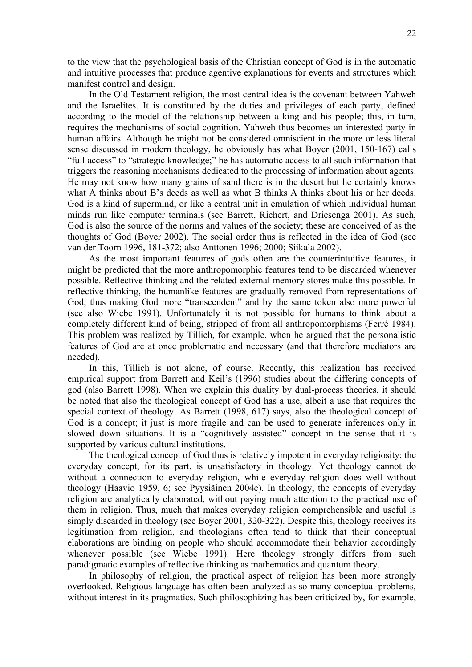to the view that the psychological basis of the Christian concept of God is in the automatic and intuitive processes that produce agentive explanations for events and structures which manifest control and design.

In the Old Testament religion, the most central idea is the covenant between Yahweh and the Israelites. It is constituted by the duties and privileges of each party, defined according to the model of the relationship between a king and his people; this, in turn, requires the mechanisms of social cognition. Yahweh thus becomes an interested party in human affairs. Although he might not be considered omniscient in the more or less literal sense discussed in modern theology, he obviously has what Boyer (2001, 150-167) calls "full access" to "strategic knowledge;" he has automatic access to all such information that triggers the reasoning mechanisms dedicated to the processing of information about agents. He may not know how many grains of sand there is in the desert but he certainly knows what A thinks about B's deeds as well as what B thinks A thinks about his or her deeds. God is a kind of supermind, or like a central unit in emulation of which individual human minds run like computer terminals (see Barrett, Richert, and Driesenga 2001). As such, God is also the source of the norms and values of the society; these are conceived of as the thoughts of God (Boyer 2002). The social order thus is reflected in the idea of God (see van der Toorn 1996, 181-372; also Anttonen 1996; 2000; Siikala 2002).

As the most important features of gods often are the counterintuitive features, it might be predicted that the more anthropomorphic features tend to be discarded whenever possible. Reflective thinking and the related external memory stores make this possible. In reflective thinking, the humanlike features are gradually removed from representations of God, thus making God more "transcendent" and by the same token also more powerful (see also Wiebe 1991). Unfortunately it is not possible for humans to think about a completely different kind of being, stripped of from all anthropomorphisms (Ferré 1984). This problem was realized by Tillich, for example, when he argued that the personalistic features of God are at once problematic and necessary (and that therefore mediators are needed).

In this, Tillich is not alone, of course. Recently, this realization has received empirical support from Barrett and Keil's (1996) studies about the differing concepts of god (also Barrett 1998). When we explain this duality by dual-process theories, it should be noted that also the theological concept of God has a use, albeit a use that requires the special context of theology. As Barrett (1998, 617) says, also the theological concept of God is a concept; it just is more fragile and can be used to generate inferences only in slowed down situations. It is a "cognitively assisted" concept in the sense that it is supported by various cultural institutions.

The theological concept of God thus is relatively impotent in everyday religiosity; the everyday concept, for its part, is unsatisfactory in theology. Yet theology cannot do without a connection to everyday religion, while everyday religion does well without theology (Haavio 1959, 6; see Pyysiäinen 2004c). In theology, the concepts of everyday religion are analytically elaborated, without paying much attention to the practical use of them in religion. Thus, much that makes everyday religion comprehensible and useful is simply discarded in theology (see Boyer 2001, 320-322). Despite this, theology receives its legitimation from religion, and theologians often tend to think that their conceptual elaborations are binding on people who should accommodate their behavior accordingly whenever possible (see Wiebe 1991). Here theology strongly differs from such paradigmatic examples of reflective thinking as mathematics and quantum theory.

In philosophy of religion, the practical aspect of religion has been more strongly overlooked. Religious language has often been analyzed as so many conceptual problems, without interest in its pragmatics. Such philosophizing has been criticized by, for example,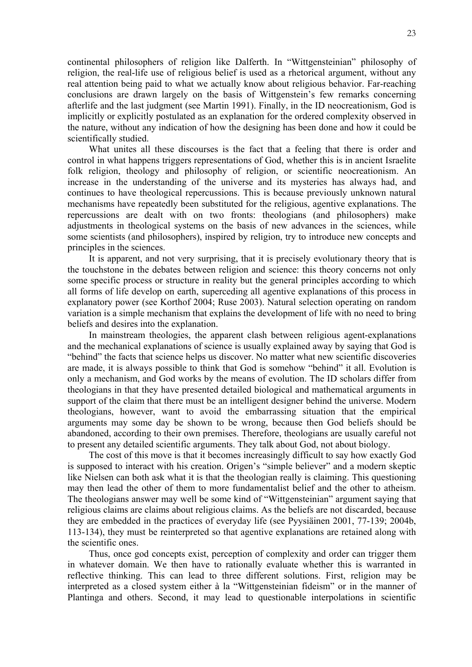continental philosophers of religion like Dalferth. In "Wittgensteinian" philosophy of religion, the real-life use of religious belief is used as a rhetorical argument, without any real attention being paid to what we actually know about religious behavior. Far-reaching conclusions are drawn largely on the basis of Wittgenstein's few remarks concerning afterlife and the last judgment (see Martin 1991). Finally, in the ID neocreationism, God is implicitly or explicitly postulated as an explanation for the ordered complexity observed in the nature, without any indication of how the designing has been done and how it could be scientifically studied.

What unites all these discourses is the fact that a feeling that there is order and control in what happens triggers representations of God, whether this is in ancient Israelite folk religion, theology and philosophy of religion, or scientific neocreationism. An increase in the understanding of the universe and its mysteries has always had, and continues to have theological repercussions. This is because previously unknown natural mechanisms have repeatedly been substituted for the religious, agentive explanations. The repercussions are dealt with on two fronts: theologians (and philosophers) make adjustments in theological systems on the basis of new advances in the sciences, while some scientists (and philosophers), inspired by religion, try to introduce new concepts and principles in the sciences.

It is apparent, and not very surprising, that it is precisely evolutionary theory that is the touchstone in the debates between religion and science: this theory concerns not only some specific process or structure in reality but the general principles according to which all forms of life develop on earth, superceding all agentive explanations of this process in explanatory power (see Korthof 2004; Ruse 2003). Natural selection operating on random variation is a simple mechanism that explains the development of life with no need to bring beliefs and desires into the explanation.

In mainstream theologies, the apparent clash between religious agent-explanations and the mechanical explanations of science is usually explained away by saying that God is "behind" the facts that science helps us discover. No matter what new scientific discoveries are made, it is always possible to think that God is somehow "behind" it all. Evolution is only a mechanism, and God works by the means of evolution. The ID scholars differ from theologians in that they have presented detailed biological and mathematical arguments in support of the claim that there must be an intelligent designer behind the universe. Modern theologians, however, want to avoid the embarrassing situation that the empirical arguments may some day be shown to be wrong, because then God beliefs should be abandoned, according to their own premises. Therefore, theologians are usually careful not to present any detailed scientific arguments. They talk about God, not about biology.

The cost of this move is that it becomes increasingly difficult to say how exactly God is supposed to interact with his creation. Origen's "simple believer" and a modern skeptic like Nielsen can both ask what it is that the theologian really is claiming. This questioning may then lead the other of them to more fundamentalist belief and the other to atheism. The theologians answer may well be some kind of "Wittgensteinian" argument saying that religious claims are claims about religious claims. As the beliefs are not discarded, because they are embedded in the practices of everyday life (see Pyysiäinen 2001, 77-139; 2004b, 113-134), they must be reinterpreted so that agentive explanations are retained along with the scientific ones.

Thus, once god concepts exist, perception of complexity and order can trigger them in whatever domain. We then have to rationally evaluate whether this is warranted in reflective thinking. This can lead to three different solutions. First, religion may be interpreted as a closed system either à la "Wittgensteinian fideism" or in the manner of Plantinga and others. Second, it may lead to questionable interpolations in scientific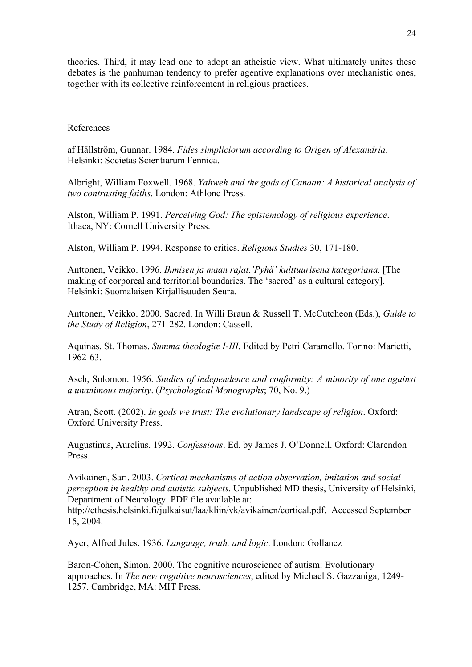theories. Third, it may lead one to adopt an atheistic view. What ultimately unites these debates is the panhuman tendency to prefer agentive explanations over mechanistic ones, together with its collective reinforcement in religious practices.

# References

af Hällström, Gunnar. 1984. *Fides simpliciorum according to Origen of Alexandria*. Helsinki: Societas Scientiarum Fennica.

Albright, William Foxwell. 1968. *Yahweh and the gods of Canaan: A historical analysis of two contrasting faiths*. London: Athlone Press.

Alston, William P. 1991. *Perceiving God: The epistemology of religious experience*. Ithaca, NY: Cornell University Press.

Alston, William P. 1994. Response to critics. *Religious Studies* 30, 171-180.

Anttonen, Veikko. 1996. *Ihmisen ja maan rajat*.*'Pyhä' kulttuurisena kategoriana.* [The making of corporeal and territorial boundaries. The 'sacred' as a cultural category]. Helsinki: Suomalaisen Kirjallisuuden Seura.

Anttonen, Veikko. 2000. Sacred. In Willi Braun & Russell T. McCutcheon (Eds.), *Guide to the Study of Religion*, 271-282. London: Cassell.

Aquinas, St. Thomas. *Summa theologiæ I-III*. Edited by Petri Caramello. Torino: Marietti, 1962-63.

Asch, Solomon. 1956. *Studies of independence and conformity: A minority of one against a unanimous majority*. (*Psychological Monographs*; 70, No. 9.)

Atran, Scott. (2002). *In gods we trust: The evolutionary landscape of religion*. Oxford: Oxford University Press.

Augustinus, Aurelius. 1992. *Confessions*. Ed. by James J. O'Donnell. Oxford: Clarendon Press.

Avikainen, Sari. 2003. *Cortical mechanisms of action observation, imitation and social perception in healthy and autistic subjects*. Unpublished MD thesis, University of Helsinki, Department of Neurology. PDF file available at: [http://ethesis.helsinki.fi/julkaisut/laa/kliin/vk/avikainen/cortical.pdf.](http://ethesis.helsinki.fi/julkaisut/laa/kliin/vk/avikainen/cortical.pdf. Accessed on September 15) Accessed September 15, 2004.

Ayer, Alfred Jules. 1936. *Language, truth, and logic*. London: Gollancz

Baron-Cohen, Simon. 2000. The cognitive neuroscience of autism: Evolutionary approaches. In *The new cognitive neurosciences*, edited by Michael S. Gazzaniga, 1249- 1257. Cambridge, MA: MIT Press.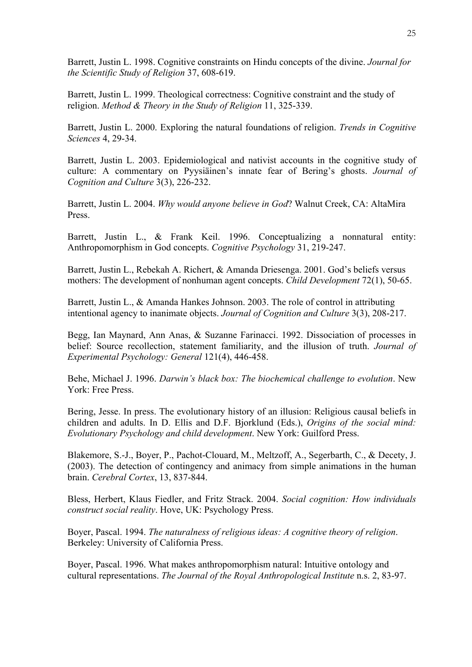Barrett, Justin L. 1998. Cognitive constraints on Hindu concepts of the divine. *Journal for the Scientific Study of Religion* 37, 608-619.

Barrett, Justin L. 1999. Theological correctness: Cognitive constraint and the study of religion. *Method & Theory in the Study of Religion* 11, 325-339.

Barrett, Justin L. 2000. Exploring the natural foundations of religion. *Trends in Cognitive Sciences* 4, 29-34.

Barrett, Justin L. 2003. Epidemiological and nativist accounts in the cognitive study of culture: A commentary on Pyysiäinen's innate fear of Bering's ghosts. *Journal of Cognition and Culture* 3(3), 226-232.

Barrett, Justin L. 2004. *Why would anyone believe in God*? Walnut Creek, CA: AltaMira Press.

Barrett, Justin L., & Frank Keil. 1996. Conceptualizing a nonnatural entity: Anthropomorphism in God concepts. *Cognitive Psychology* 31, 219-247.

Barrett, Justin L., Rebekah A. Richert, & Amanda Driesenga. 2001. God's beliefs versus mothers: The development of nonhuman agent concepts. *Child Development* 72(1), 50-65.

Barrett, Justin L., & Amanda Hankes Johnson. 2003. The role of control in attributing intentional agency to inanimate objects. *Journal of Cognition and Culture* 3(3), 208-217.

Begg, Ian Maynard, Ann Anas, & Suzanne Farinacci. 1992. Dissociation of processes in belief: Source recollection, statement familiarity, and the illusion of truth. *Journal of Experimental Psychology: General* 121(4), 446-458.

Behe, Michael J. 1996. *Darwin's black box: The biochemical challenge to evolution*. New York: Free Press.

Bering, Jesse. In press. The evolutionary history of an illusion: Religious causal beliefs in children and adults. In D. Ellis and D.F. Bjorklund (Eds.), *Origins of the social mind: Evolutionary Psychology and child development*. New York: Guilford Press.

Blakemore, S.-J., Boyer, P., Pachot-Clouard, M., Meltzoff, A., Segerbarth, C., & Decety, J. (2003). The detection of contingency and animacy from simple animations in the human brain. *Cerebral Cortex*, 13, 837-844.

Bless, Herbert, Klaus Fiedler, and Fritz Strack. 2004. *Social cognition: How individuals construct social reality*. Hove, UK: Psychology Press.

Boyer, Pascal. 1994. *The naturalness of religious ideas: A cognitive theory of religion*. Berkeley: University of California Press.

Boyer, Pascal. 1996. What makes anthropomorphism natural: Intuitive ontology and cultural representations. *The Journal of the Royal Anthropological Institute* n.s. 2, 83-97.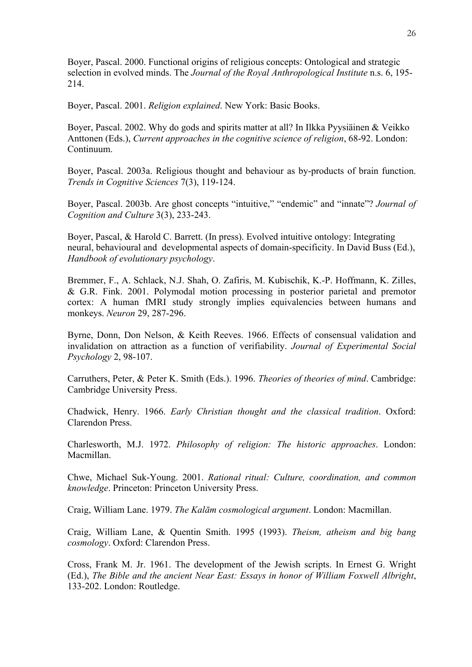Boyer, Pascal. 2000. Functional origins of religious concepts: Ontological and strategic selection in evolved minds. The *Journal of the Royal Anthropological Institute* n.s. 6, 195- 214.

Boyer, Pascal. 2001. *Religion explained*. New York: Basic Books.

Boyer, Pascal. 2002. Why do gods and spirits matter at all? In Ilkka Pyysiäinen & Veikko Anttonen (Eds.), *Current approaches in the cognitive science of religion*, 68-92. London: Continuum.

Boyer, Pascal. 2003a. Religious thought and behaviour as by-products of brain function. *Trends in Cognitive Sciences* 7(3), 119-124.

Boyer, Pascal. 2003b. Are ghost concepts "intuitive," "endemic" and "innate"? *Journal of Cognition and Culture* 3(3), 233-243.

Boyer, Pascal, & Harold C. Barrett. (In press). Evolved intuitive ontology: Integrating neural, behavioural and developmental aspects of domain-specificity. In David Buss (Ed.), *Handbook of evolutionary psychology*.

Bremmer, F., A. Schlack, N.J. Shah, O. Zafiris, M. Kubischik, K.-P. Hoffmann, K. Zilles, & G.R. Fink. 2001. Polymodal motion processing in posterior parietal and premotor cortex: A human fMRI study strongly implies equivalencies between humans and monkeys. *Neuron* 29, 287-296.

Byrne, Donn, Don Nelson, & Keith Reeves. 1966. Effects of consensual validation and invalidation on attraction as a function of verifiability. *Journal of Experimental Social Psychology* 2, 98-107.

Carruthers, Peter, & Peter K. Smith (Eds.). 1996. *Theories of theories of mind*. Cambridge: Cambridge University Press.

Chadwick, Henry. 1966. *Early Christian thought and the classical tradition*. Oxford: Clarendon Press.

Charlesworth, M.J. 1972. *Philosophy of religion: The historic approaches*. London: Macmillan.

Chwe, Michael Suk-Young. 2001. *Rational ritual: Culture, coordination, and common knowledge*. Princeton: Princeton University Press.

Craig, William Lane. 1979. *The Kalām cosmological argument*. London: Macmillan.

Craig, William Lane, & Quentin Smith. 1995 (1993). *Theism, atheism and big bang cosmology*. Oxford: Clarendon Press.

Cross, Frank M. Jr. 1961. The development of the Jewish scripts. In Ernest G. Wright (Ed.), *The Bible and the ancient Near East: Essays in honor of William Foxwell Albright*, 133-202. London: Routledge.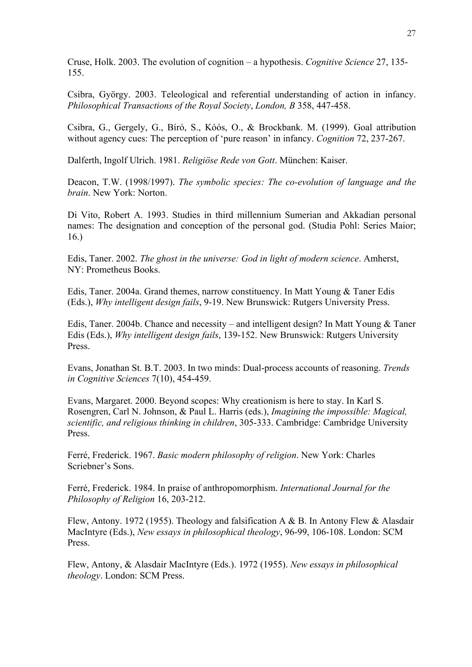Cruse, Holk. 2003. The evolution of cognition – a hypothesis. *Cognitive Science* 27, 135- 155.

Csibra, György. 2003. Teleological and referential understanding of action in infancy. *Philosophical Transactions of the Royal Society*, *London, B* 358, 447-458.

Csibra, G., Gergely, G., Bíró, S., Kóós, O., & Brockbank. M. (1999). Goal attribution without agency cues: The perception of 'pure reason' in infancy. *Cognition* 72, 237-267.

Dalferth, Ingolf Ulrich. 1981. *Religiöse Rede von Gott*. München: Kaiser.

Deacon, T.W. (1998/1997). *The symbolic species: The co-evolution of language and the brain*. New York: Norton.

Di Vito, Robert A. 1993. Studies in third millennium Sumerian and Akkadian personal names: The designation and conception of the personal god. (Studia Pohl: Series Maior; 16.)

Edis, Taner. 2002. *The ghost in the universe: God in light of modern science*. Amherst, NY: Prometheus Books.

Edis, Taner. 2004a. Grand themes, narrow constituency. In Matt Young & Taner Edis (Eds.), *Why intelligent design fails*, 9-19. New Brunswick: Rutgers University Press.

Edis, Taner. 2004b. Chance and necessity – and intelligent design? In Matt Young & Taner Edis (Eds.), *Why intelligent design fails*, 139-152. New Brunswick: Rutgers University Press.

Evans, Jonathan St. B.T. 2003. In two minds: Dual-process accounts of reasoning. *Trends in Cognitive Sciences* 7(10), 454-459.

Evans, Margaret. 2000. Beyond scopes: Why creationism is here to stay. In Karl S. Rosengren, Carl N. Johnson, & Paul L. Harris (eds.), *Imagining the impossible: Magical, scientific, and religious thinking in children*, 305-333. Cambridge: Cambridge University Press.

Ferré, Frederick. 1967. *Basic modern philosophy of religion*. New York: Charles Scriebner's Sons.

Ferré, Frederick. 1984. In praise of anthropomorphism. *International Journal for the Philosophy of Religion* 16, 203-212.

Flew, Antony. 1972 (1955). Theology and falsification A & B. In Antony Flew & Alasdair MacIntyre (Eds.), *New essays in philosophical theology*, 96-99, 106-108. London: SCM Press.

Flew, Antony, & Alasdair MacIntyre (Eds.). 1972 (1955). *New essays in philosophical theology*. London: SCM Press.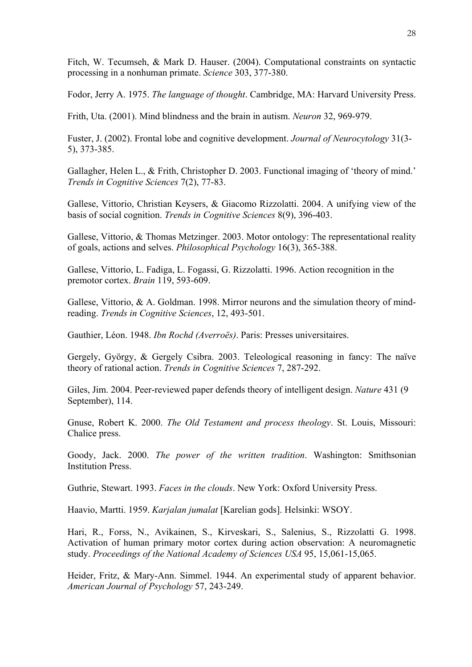Fitch, W. Tecumseh, & Mark D. Hauser. (2004). Computational constraints on syntactic processing in a nonhuman primate. *Science* 303, 377-380.

Fodor, Jerry A. 1975. *The language of thought*. Cambridge, MA: Harvard University Press.

Frith, Uta. (2001). Mind blindness and the brain in autism. *Neuron* 32, 969-979.

Fuster, J. (2002). Frontal lobe and cognitive development. *Journal of Neurocytology* 31(3- 5), 373-385.

Gallagher, Helen L., & Frith, Christopher D. 2003. Functional imaging of 'theory of mind.' *Trends in Cognitive Sciences* 7(2), 77-83.

Gallese, Vittorio, Christian Keysers, & Giacomo Rizzolatti. 2004. A unifying view of the basis of social cognition. *Trends in Cognitive Sciences* 8(9), 396-403.

Gallese, Vittorio, & Thomas Metzinger. 2003. Motor ontology: The representational reality of goals, actions and selves. *Philosophical Psychology* 16(3), 365-388.

Gallese, Vittorio, L. Fadiga, L. Fogassi, G. Rizzolatti. 1996. Action recognition in the premotor cortex. *Brain* 119, 593-609.

Gallese, Vittorio, & A. Goldman. 1998. Mirror neurons and the simulation theory of mindreading. *Trends in Cognitive Sciences*, 12, 493-501.

Gauthier, Léon. 1948. *Ibn Rochd (Averroës)*. Paris: Presses universitaires.

Gergely, György, & Gergely Csibra. 2003. Teleological reasoning in fancy: The naïve theory of rational action. *Trends in Cognitive Sciences* 7, 287-292.

Giles, Jim. 2004. Peer-reviewed paper defends theory of intelligent design. *Nature* 431 (9 September), 114.

Gnuse, Robert K. 2000. *The Old Testament and process theology*. St. Louis, Missouri: Chalice press.

Goody, Jack. 2000. *The power of the written tradition*. Washington: Smithsonian Institution Press.

Guthrie, Stewart. 1993. *Faces in the clouds*. New York: Oxford University Press.

Haavio, Martti. 1959. *Karjalan jumalat* [Karelian gods]. Helsinki: WSOY.

Hari, R., Forss, N., Avikainen, S., Kirveskari, S., Salenius, S., Rizzolatti G. 1998. Activation of human primary motor cortex during action observation: A neuromagnetic study. *Proceedings of the National Academy of Sciences USA* 95, 15,061-15,065.

Heider, Fritz, & Mary-Ann. Simmel. 1944. An experimental study of apparent behavior. *American Journal of Psychology* 57, 243-249.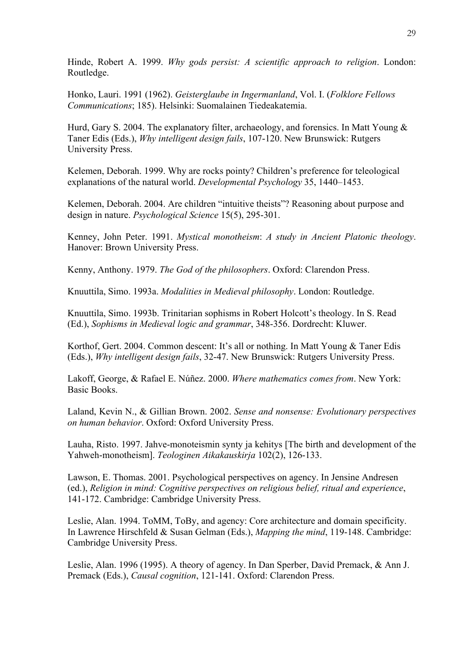Hinde, Robert A. 1999. *Why gods persist: A scientific approach to religion*. London: Routledge.

Honko, Lauri. 1991 (1962). *Geisterglaube in Ingermanland*, Vol. I. (*Folklore Fellows Communications*; 185). Helsinki: Suomalainen Tiedeakatemia.

Hurd, Gary S. 2004. The explanatory filter, archaeology, and forensics. In Matt Young & Taner Edis (Eds.), *Why intelligent design fails*, 107-120. New Brunswick: Rutgers University Press.

Kelemen, Deborah. 1999. Why are rocks pointy? Children's preference for teleological explanations of the natural world. *Developmental Psychology* 35, 1440–1453.

Kelemen, Deborah. 2004. Are children "intuitive theists"? Reasoning about purpose and design in nature. *Psychological Science* 15(5), 295-301.

Kenney, John Peter. 1991. *Mystical monotheism*: *A study in Ancient Platonic theology*. Hanover: Brown University Press.

Kenny, Anthony. 1979. *The God of the philosophers*. Oxford: Clarendon Press.

Knuuttila, Simo. 1993a. *Modalities in Medieval philosophy*. London: Routledge.

Knuuttila, Simo. 1993b. Trinitarian sophisms in Robert Holcott's theology. In S. Read (Ed.), *Sophisms in Medieval logic and grammar*, 348-356. Dordrecht: Kluwer.

Korthof, Gert. 2004. Common descent: It's all or nothing. In Matt Young & Taner Edis (Eds.), *Why intelligent design fails*, 32-47. New Brunswick: Rutgers University Press.

Lakoff, George, & Rafael E. Núñez. 2000. *Where mathematics comes from*. New York: Basic Books.

Laland, Kevin N., & Gillian Brown. 2002. *Sense and nonsense: Evolutionary perspectives on human behavior*. Oxford: Oxford University Press.

Lauha, Risto. 1997. Jahve-monoteismin synty ja kehitys [The birth and development of the Yahweh-monotheism]. *Teologinen Aikakauskirja* 102(2), 126-133.

Lawson, E. Thomas. 2001. Psychological perspectives on agency. In Jensine Andresen (ed.), *Religion in mind: Cognitive perspectives on religious belief, ritual and experience*, 141-172. Cambridge: Cambridge University Press.

Leslie, Alan. 1994. ToMM, ToBy, and agency: Core architecture and domain specificity. In Lawrence Hirschfeld & Susan Gelman (Eds.), *Mapping the mind*, 119-148. Cambridge: Cambridge University Press.

Leslie, Alan. 1996 (1995). A theory of agency. In Dan Sperber, David Premack, & Ann J. Premack (Eds.), *Causal cognition*, 121-141. Oxford: Clarendon Press.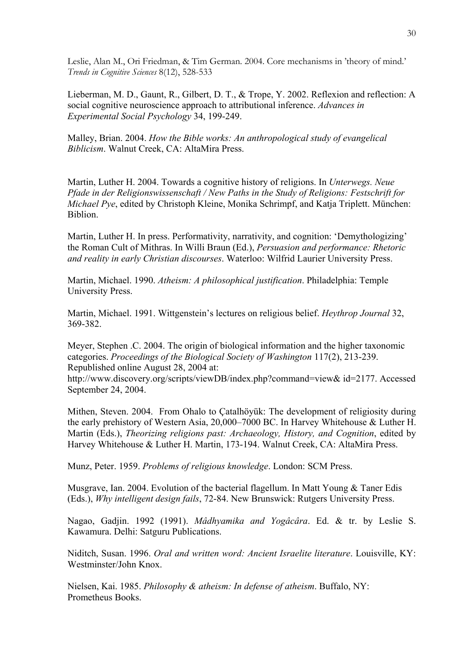Leslie, Alan M., Ori Friedman, & Tim German. 2004. Core mechanisms in 'theory of mind.' *Trends in Cognitive Sciences* 8(12), 528-533

Lieberman, M. D., Gaunt, R., Gilbert, D. T., & Trope, Y. 2002. Reflexion and reflection: A social cognitive neuroscience approach to attributional inference. *Advances in Experimental Social Psychology* 34, 199-249.

Malley, Brian. 2004. *How the Bible works: An anthropological study of evangelical Biblicism*. Walnut Creek, CA: AltaMira Press.

Martin, Luther H. 2004. Towards a cognitive history of religions. In *Unterwegs. Neue Pfade in der Religionswissenschaft / New Paths in the Study of Religions: Festschrift for Michael Pye*, edited by Christoph Kleine, Monika Schrimpf, and Katja Triplett. München: **Biblion** 

Martin, Luther H. In press. Performativity, narrativity, and cognition: 'Demythologizing' the Roman Cult of Mithras. In Willi Braun (Ed.), *Persuasion and performance: Rhetoric and reality in early Christian discourses*. Waterloo: Wilfrid Laurier University Press.

Martin, Michael. 1990. *Atheism: A philosophical justification*. Philadelphia: Temple University Press.

Martin, Michael. 1991. Wittgenstein's lectures on religious belief. *Heythrop Journal* 32, 369-382.

Meyer, Stephen .C. 2004. The origin of biological information and the higher taxonomic categories. *Proceedings of the Biological Society of Washington* 117(2), 213-239. Republished online August 28, 2004 at:

[http://www.discovery.org/scripts/viewDB/index.php?command=view& id=2177.](http://www.discovery.org/scripts/viewDB/index.php?command=view&id=2177) Accessed September 24, 2004.

Mithen, Steven. 2004. From Ohalo to Çatalhöyük: The development of religiosity during the early prehistory of Western Asia, 20,000–7000 BC. In Harvey Whitehouse & Luther H. Martin (Eds.), *Theorizing religions past: Archaeology, History, and Cognition*, edited by Harvey Whitehouse & Luther H. Martin, 173-194. Walnut Creek, CA: AltaMira Press.

Munz, Peter. 1959. *Problems of religious knowledge*. London: SCM Press.

Musgrave, Ian. 2004. Evolution of the bacterial flagellum. In Matt Young & Taner Edis (Eds.), *Why intelligent design fails*, 72-84. New Brunswick: Rutgers University Press.

Nagao, Gadjin. 1992 (1991). *Mâdhyamika and Yogâcâra*. Ed. & tr. by Leslie S. Kawamura. Delhi: Satguru Publications.

Niditch, Susan. 1996. *Oral and written word: Ancient Israelite literature*. Louisville, KY: Westminster/John Knox.

Nielsen, Kai. 1985. *Philosophy & atheism: In defense of atheism*. Buffalo, NY: Prometheus Books.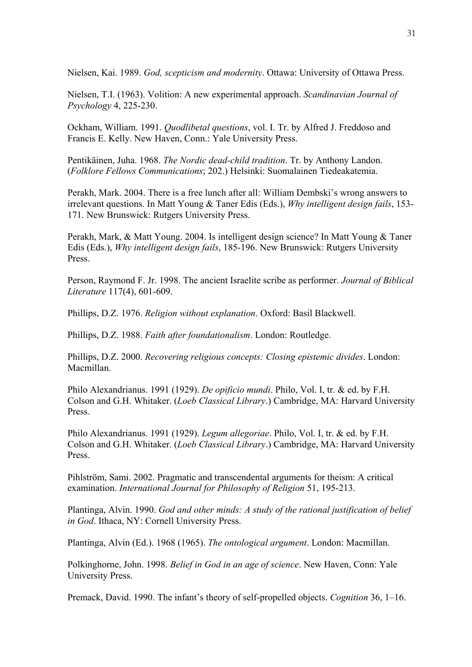Nielsen, Kai. 1989. *God, scepticism and modernity*. Ottawa: University of Ottawa Press.

Nielsen, T.I. (1963). Volition: A new experimental approach. *Scandinavian Journal of Psychology* 4, 225-230.

Ockham, William. 1991. *Quodlibetal questions*, vol. I. Tr. by Alfred J. Freddoso and Francis E. Kelly. New Haven, Conn.: Yale University Press.

Pentikäinen, Juha. 1968. *The Nordic dead-child tradition*. Tr. by Anthony Landon. (*Folklore Fellows Communications*; 202.) Helsinki: Suomalainen Tiedeakatemia.

Perakh, Mark. 2004. There is a free lunch after all: William Dembski's wrong answers to irrelevant questions. In Matt Young & Taner Edis (Eds.), *Why intelligent design fails*, 153- 171. New Brunswick: Rutgers University Press.

Perakh, Mark, & Matt Young. 2004. Is intelligent design science? In Matt Young & Taner Edis (Eds.), *Why intelligent design fails*, 185-196. New Brunswick: Rutgers University Press.

Person, Raymond F. Jr. 1998. The ancient Israelite scribe as performer. *Journal of Biblical Literature* 117(4), 601-609.

Phillips, D.Z. 1976. *Religion without explanation*. Oxford: Basil Blackwell.

Phillips, D.Z. 1988. *Faith after foundationalism*. London: Routledge.

Phillips, D.Z. 2000. *Recovering religious concepts: Closing epistemic divides*. London: Macmillan.

Philo Alexandrianus. 1991 (1929). *De opificio mundi*. Philo, Vol. I, tr. & ed. by F.H. Colson and G.H. Whitaker. (*Loeb Classical Library*.) Cambridge, MA: Harvard University Press.

Philo Alexandrianus. 1991 (1929). *Legum allegoriae*. Philo, Vol. I, tr. & ed. by F.H. Colson and G.H. Whitaker. (*Loeb Classical Library*.) Cambridge, MA: Harvard University Press.

Pihlström, Sami. 2002. Pragmatic and transcendental arguments for theism: A critical examination. *International Journal for Philosophy of Religion* 51, 195-213.

Plantinga, Alvin. 1990. *God and other minds: A study of the rational justification of belief in God*. Ithaca, NY: Cornell University Press.

Plantinga, Alvin (Ed.). 1968 (1965). *The ontological argument*. London: Macmillan.

Polkinghorne, John. 1998. *Belief in God in an age of science*. New Haven, Conn: Yale University Press.

Premack, David. 1990. The infant's theory of self-propelled objects. *Cognition* 36, 1–16.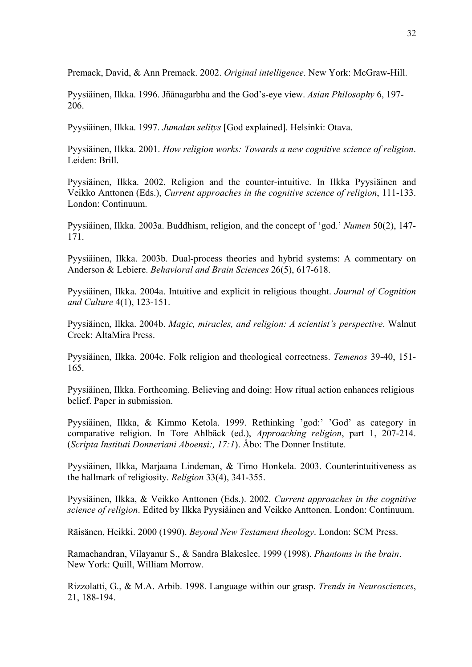Premack, David, & Ann Premack. 2002. *Original intelligence*. New York: McGraw-Hill.

Pyysiäinen, Ilkka. 1996. Jñānagarbha and the God's-eye view. *Asian Philosophy* 6, 197- 206.

Pyysiäinen, Ilkka. 1997. *Jumalan selitys* [God explained]. Helsinki: Otava.

Pyysiäinen, Ilkka. 2001. *How religion works: Towards a new cognitive science of religion*. Leiden: Brill.

Pyysiäinen, Ilkka. 2002. Religion and the counter-intuitive. In Ilkka Pyysiäinen and Veikko Anttonen (Eds.), *Current approaches in the cognitive science of religion*, 111-133. London: Continuum.

Pyysiäinen, Ilkka. 2003a. Buddhism, religion, and the concept of 'god.' *Numen* 50(2), 147- 171.

Pyysiäinen, Ilkka. 2003b. Dual-process theories and hybrid systems: A commentary on Anderson & Lebiere. *Behavioral and Brain Sciences* 26(5), 617-618.

Pyysiäinen, Ilkka. 2004a. Intuitive and explicit in religious thought. *Journal of Cognition and Culture* 4(1), 123-151.

Pyysiäinen, Ilkka. 2004b. *Magic, miracles, and religion: A scientist's perspective*. Walnut Creek: AltaMira Press.

Pyysiäinen, Ilkka. 2004c. Folk religion and theological correctness. *Temenos* 39-40, 151- 165.

Pyysiäinen, Ilkka. Forthcoming. Believing and doing: How ritual action enhances religious belief. Paper in submission.

Pyysiäinen, Ilkka, & Kimmo Ketola. 1999. Rethinking 'god:' 'God' as category in comparative religion. In Tore Ahlbäck (ed.), *Approaching religion*, part 1, 207-214. (*Scripta Instituti Donneriani Aboensi:, 17:1*). Åbo: The Donner Institute.

Pyysiäinen, Ilkka, Marjaana Lindeman, & Timo Honkela. 2003. Counterintuitiveness as the hallmark of religiosity. *Religion* 33(4), 341-355.

Pyysiäinen, Ilkka, & Veikko Anttonen (Eds.). 2002. *Current approaches in the cognitive science of religion*. Edited by Ilkka Pyysiäinen and Veikko Anttonen. London: Continuum.

Räisänen, Heikki. 2000 (1990). *Beyond New Testament theology*. London: SCM Press.

Ramachandran, Vilayanur S., & Sandra Blakeslee. 1999 (1998). *Phantoms in the brain*. New York: Quill, William Morrow.

Rizzolatti, G., & M.A. Arbib. 1998. Language within our grasp. *Trends in Neurosciences*, 21, 188-194.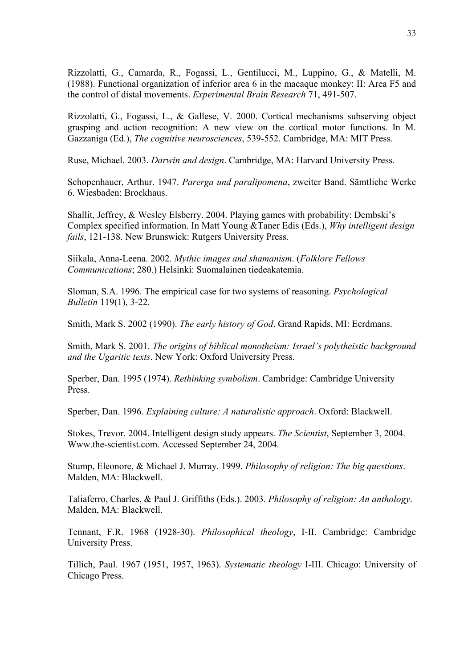Rizzolatti, G., Camarda, R., Fogassi, L., Gentilucci, M., Luppino, G., & Matelli, M. (1988). Functional organization of inferior area 6 in the macaque monkey: II: Area F5 and the control of distal movements. *Experimental Brain Research* 71, 491-507.

Rizzolatti, G., Fogassi, L., & Gallese, V. 2000. Cortical mechanisms subserving object grasping and action recognition: A new view on the cortical motor functions. In M. Gazzaniga (Ed.), *The cognitive neurosciences*, 539-552. Cambridge, MA: MIT Press.

Ruse, Michael. 2003. *Darwin and design*. Cambridge, MA: Harvard University Press.

Schopenhauer, Arthur. 1947. *Parerga und paralipomena*, zweiter Band. Sämtliche Werke 6. Wiesbaden: Brockhaus.

Shallit, Jeffrey, & Wesley Elsberry. 2004. Playing games with probability: Dembski's Complex specified information. In Matt Young &Taner Edis (Eds.), *Why intelligent design fails*, 121-138. New Brunswick: Rutgers University Press.

Siikala, Anna-Leena. 2002. *Mythic images and shamanism*. (*Folklore Fellows Communications*; 280.) Helsinki: Suomalainen tiedeakatemia.

Sloman, S.A. 1996. The empirical case for two systems of reasoning. *Psychological Bulletin* 119(1), 3-22.

Smith, Mark S. 2002 (1990). *The early history of God*. Grand Rapids, MI: Eerdmans.

Smith, Mark S. 2001. *The origins of biblical monotheism: Israel's polytheistic background and the Ugaritic texts*. New York: Oxford University Press.

Sperber, Dan. 1995 (1974). *Rethinking symbolism*. Cambridge: Cambridge University Press.

Sperber, Dan. 1996. *Explaining culture: A naturalistic approach*. Oxford: Blackwell.

Stokes, Trevor. 2004. Intelligent design study appears. *The Scientist*, September 3, 2004. [Www.the-scientist.com](http://www.the-scientist.com/). Accessed September 24, 2004.

Stump, Eleonore, & Michael J. Murray. 1999. *Philosophy of religion: The big questions*. Malden, MA: Blackwell.

Taliaferro, Charles, & Paul J. Griffiths (Eds.). 2003. *Philosophy of religion: An anthology*. Malden, MA: Blackwell.

Tennant, F.R. 1968 (1928-30). *Philosophical theology*, I-II. Cambridge: Cambridge University Press.

Tillich, Paul. 1967 (1951, 1957, 1963). *Systematic theology* I-III. Chicago: University of Chicago Press.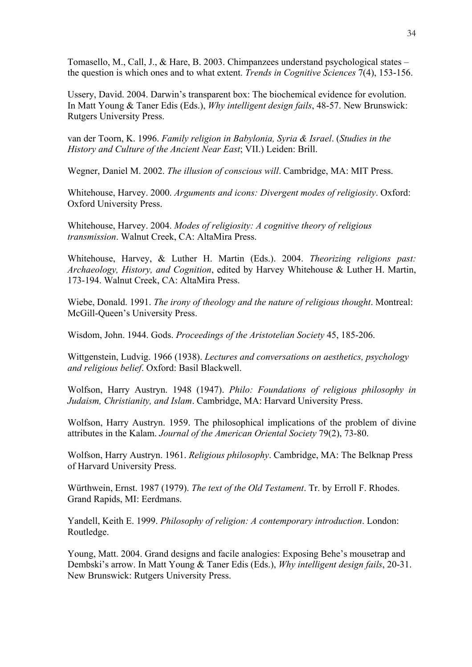Tomasello, M., Call, J., & Hare, B. 2003. Chimpanzees understand psychological states – the question is which ones and to what extent. *Trends in Cognitive Sciences* 7(4), 153-156.

Ussery, David. 2004. Darwin's transparent box: The biochemical evidence for evolution. In Matt Young & Taner Edis (Eds.), *Why intelligent design fails*, 48-57. New Brunswick: Rutgers University Press.

van der Toorn, K. 1996. *Family religion in Babylonia, Syria & Israel*. (*Studies in the History and Culture of the Ancient Near East*; VII.) Leiden: Brill.

Wegner, Daniel M. 2002. *The illusion of conscious will*. Cambridge, MA: MIT Press.

Whitehouse, Harvey. 2000. *Arguments and icons: Divergent modes of religiosity*. Oxford: Oxford University Press.

Whitehouse, Harvey. 2004. *Modes of religiosity: A cognitive theory of religious transmission*. Walnut Creek, CA: AltaMira Press.

Whitehouse, Harvey, & Luther H. Martin (Eds.). 2004. *Theorizing religions past: Archaeology, History, and Cognition*, edited by Harvey Whitehouse & Luther H. Martin, 173-194. Walnut Creek, CA: AltaMira Press.

Wiebe, Donald. 1991. *The irony of theology and the nature of religious thought*. Montreal: McGill-Queen's University Press.

Wisdom, John. 1944. Gods. *Proceedings of the Aristotelian Society* 45, 185-206.

Wittgenstein, Ludvig. 1966 (1938). *Lectures and conversations on aesthetics, psychology and religious belief*. Oxford: Basil Blackwell.

Wolfson, Harry Austryn. 1948 (1947). *Philo: Foundations of religious philosophy in Judaism, Christianity, and Islam*. Cambridge, MA: Harvard University Press.

Wolfson, Harry Austryn. 1959. The philosophical implications of the problem of divine attributes in the Kalam. *Journal of the American Oriental Society* 79(2), 73-80.

Wolfson, Harry Austryn. 1961. *Religious philosophy*. Cambridge, MA: The Belknap Press of Harvard University Press.

Würthwein, Ernst. 1987 (1979). *The text of the Old Testament*. Tr. by Erroll F. Rhodes. Grand Rapids, MI: Eerdmans.

Yandell, Keith E. 1999. *Philosophy of religion: A contemporary introduction*. London: Routledge.

Young, Matt. 2004. Grand designs and facile analogies: Exposing Behe's mousetrap and Dembski's arrow. In Matt Young & Taner Edis (Eds.), *Why intelligent design fails*, 20-31. New Brunswick: Rutgers University Press.